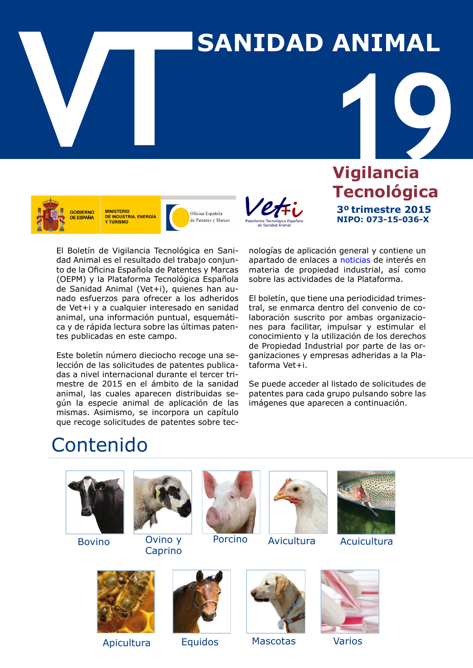# **VALUATION ANIMAL**



**MINISTERIO** DE INDUSTRIA, ENERGÍA **Y TURISMO** 

Oficina Española de Patentes y Marcas



**1996**<br> **1996**<br> **1996**<br> **1997**<br> **1997 Vigilancia Tecnológica 3º trimestre 2015 NIPO: 073-15-036-X**

El Boletín de Vigilancia Tecnológica en Sanidad Animal es el resultado del trabajo conjunto de la Oficina Española de Patentes y Marcas (OEPM) y la Plataforma Tecnológica Española de Sanidad Animal (Vet+i), quienes han aunado esfuerzos para ofrecer a los adheridos de Vet+i y a cualquier interesado en sanidad animal, una información puntual, esquemática y de rápida lectura sobre las últimas patentes publicadas en este campo.

Este boletín número dieciocho recoge una selección de las solicitudes de patentes publicadas a nivel internacional durante el tercer trimestre de 2015 en el ámbito de la sanidad animal, las cuales aparecen distribuidas según la especie animal de aplicación de las mismas. Asimismo, se incorpora un capítulo que recoge solicitudes de patentes sobre tecnologías de aplicación general y contiene un apartado de enlaces a [noticias](#page-31-0) de interés en materia de propiedad industrial, así como sobre las actividades de la Plataforma.

El boletín, que tiene una periodicidad trimestral, se enmarca dentro del convenio de colaboración suscrito por ambas organizaciones para facilitar, impulsar y estimular el conocimiento y la utilización de los derechos de Propiedad Industrial por parte de las organizaciones y empresas adheridas a la Plataforma Vet+i.

Se puede acceder al listado de solicitudes de patentes para cada grupo pulsando sobre las imágenes que aparecen a continuación.

## Contenido



Bovino



[Ovino y](#page-9-0) Caprino





[Porcino](#page-12-0) [Avicultura](#page-18-0) Acuicultura









Apicultura Équidos Mascotas Varios

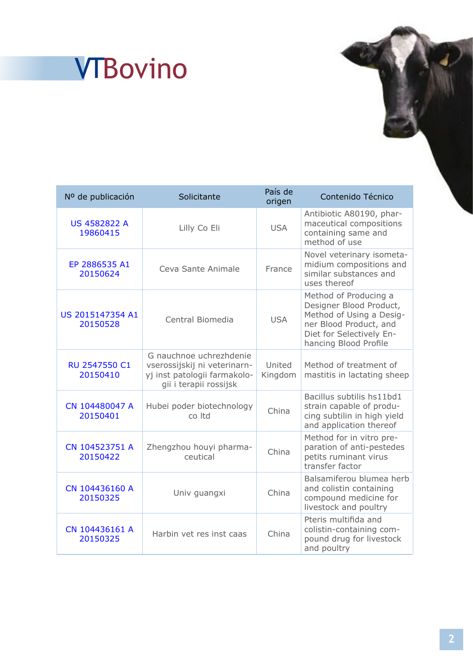## **<sup>1</sup>** VTBovino

| Nº de publicación               | Solicitante                                                                                                       | País de<br>origen | Contenido Técnico                                                                                                                                           |
|---------------------------------|-------------------------------------------------------------------------------------------------------------------|-------------------|-------------------------------------------------------------------------------------------------------------------------------------------------------------|
| <b>US 4582822 A</b><br>19860415 | Lilly Co Eli                                                                                                      | <b>USA</b>        | Antibiotic A80190, phar-<br>maceutical compositions<br>containing same and<br>method of use                                                                 |
| EP 2886535 A1<br>20150624       | Ceva Sante Animale                                                                                                | France            | Novel veterinary isometa-<br>midium compositions and<br>similar substances and<br>uses thereof                                                              |
| US 2015147354 A1<br>20150528    | Central Biomedia                                                                                                  | <b>USA</b>        | Method of Producing a<br>Designer Blood Product,<br>Method of Using a Desig-<br>ner Blood Product, and<br>Diet for Selectively En-<br>hancing Blood Profile |
| RU 2547550 C1<br>20150410       | G nauchnoe uchrezhdenie<br>vserossijskij ni veterinarn-<br>yj inst patologii farmakolo-<br>gii i terapii rossijsk | United<br>Kingdom | Method of treatment of<br>mastitis in lactating sheep                                                                                                       |
| CN 104480047 A<br>20150401      | Hubei poder biotechnology<br>co Itd                                                                               | China             | Bacillus subtilis hs11bd1<br>strain capable of produ-<br>cing subtilin in high yield<br>and application thereof                                             |
| CN 104523751 A<br>20150422      | Zhengzhou houyi pharma-<br>ceutical                                                                               | China             | Method for in vitro pre-<br>paration of anti-pestedes<br>petits ruminant virus<br>transfer factor                                                           |
| CN 104436160 A<br>20150325      | Univ guangxi                                                                                                      | China             | Balsamiferou blumea herb<br>and colistin containing<br>compound medicine for<br>livestock and poultry                                                       |
| CN 104436161 A<br>20150325      | Harbin vet res inst caas                                                                                          | China             | Pteris multifida and<br>colistin-containing com-<br>pound drug for livestock<br>and poultry                                                                 |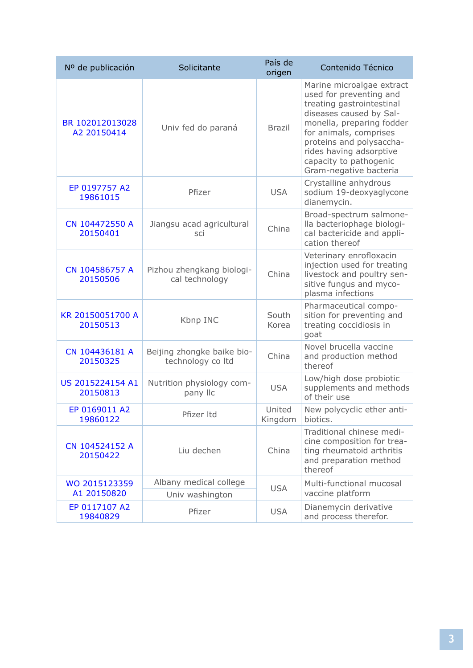| Nº de publicación              | Solicitante                                     | País de<br>origen | Contenido Técnico                                                                                                                                                                                                                                                              |
|--------------------------------|-------------------------------------------------|-------------------|--------------------------------------------------------------------------------------------------------------------------------------------------------------------------------------------------------------------------------------------------------------------------------|
| BR 102012013028<br>A2 20150414 | Univ fed do paraná                              | <b>Brazil</b>     | Marine microalgae extract<br>used for preventing and<br>treating gastrointestinal<br>diseases caused by Sal-<br>monella, preparing fodder<br>for animals, comprises<br>proteins and polysaccha-<br>rides having adsorptive<br>capacity to pathogenic<br>Gram-negative bacteria |
| EP 0197757 A2<br>19861015      | Pfizer                                          | <b>USA</b>        | Crystalline anhydrous<br>sodium 19-deoxyaglycone<br>dianemycin.                                                                                                                                                                                                                |
| CN 104472550 A<br>20150401     | Jiangsu acad agricultural<br>sci                | China             | Broad-spectrum salmone-<br>lla bacteriophage biologi-<br>cal bactericide and appli-<br>cation thereof                                                                                                                                                                          |
| CN 104586757 A<br>20150506     | Pizhou zhengkang biologi-<br>cal technology     | China             | Veterinary enrofloxacin<br>injection used for treating<br>livestock and poultry sen-<br>sitive fungus and myco-<br>plasma infections                                                                                                                                           |
| KR 20150051700 A<br>20150513   | Kbnp INC                                        | South<br>Korea    | Pharmaceutical compo-<br>sition for preventing and<br>treating coccidiosis in<br>goat                                                                                                                                                                                          |
| CN 104436181 A<br>20150325     | Beijing zhongke baike bio-<br>technology co Itd | China             | Novel brucella vaccine<br>and production method<br>thereof                                                                                                                                                                                                                     |
| US 2015224154 A1<br>20150813   | Nutrition physiology com-<br>pany IIc           | <b>USA</b>        | Low/high dose probiotic<br>supplements and methods<br>of their use                                                                                                                                                                                                             |
| EP 0169011 A2<br>19860122      | Pfizer Itd                                      | United<br>Kingdom | New polycyclic ether anti-<br>biotics.                                                                                                                                                                                                                                         |
| CN 104524152 A<br>20150422     | Liu dechen                                      | China             | Traditional chinese medi-<br>cine composition for trea-<br>ting rheumatoid arthritis<br>and preparation method<br>thereof                                                                                                                                                      |
| WO 2015123359<br>A1 20150820   | Albany medical college<br>Univ washington       | <b>USA</b>        | Multi-functional mucosal<br>vaccine platform                                                                                                                                                                                                                                   |
| EP 0117107 A2<br>19840829      | Pfizer                                          | <b>USA</b>        | Dianemycin derivative<br>and process therefor.                                                                                                                                                                                                                                 |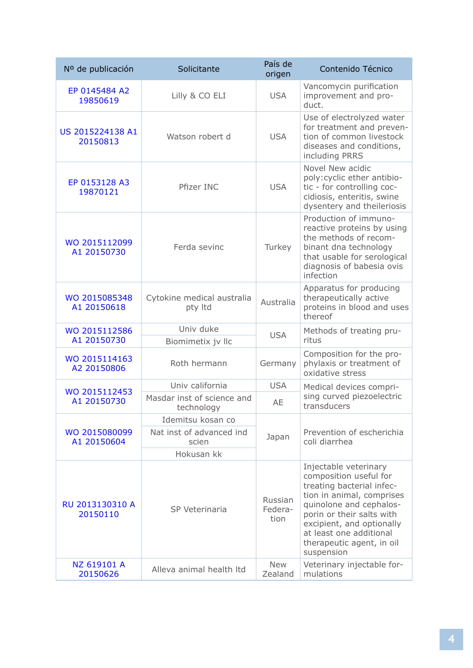| Nº de publicación            | Solicitante                              | País de<br>origen          | Contenido Técnico                                                                                                                                                                                                                                                    |
|------------------------------|------------------------------------------|----------------------------|----------------------------------------------------------------------------------------------------------------------------------------------------------------------------------------------------------------------------------------------------------------------|
| EP 0145484 A2<br>19850619    | Lilly & CO ELI                           | <b>USA</b>                 | Vancomycin purification<br>improvement and pro-<br>duct.                                                                                                                                                                                                             |
| US 2015224138 A1<br>20150813 | Watson robert d                          | <b>USA</b>                 | Use of electrolyzed water<br>for treatment and preven-<br>tion of common livestock<br>diseases and conditions,<br>including PRRS                                                                                                                                     |
| EP 0153128 A3<br>19870121    | Pfizer INC                               | <b>USA</b>                 | Novel New acidic<br>poly: cyclic ether antibio-<br>tic - for controlling coc-<br>cidiosis, enteritis, swine<br>dysentery and theileriosis                                                                                                                            |
| WO 2015112099<br>A1 20150730 | Ferda sevinc                             | Turkey                     | Production of immuno-<br>reactive proteins by using<br>the methods of recom-<br>binant dna technology<br>that usable for serological<br>diagnosis of babesia ovis<br>infection                                                                                       |
| WO 2015085348<br>A1 20150618 | Cytokine medical australia<br>pty Itd    | Australia                  | Apparatus for producing<br>therapeutically active<br>proteins in blood and uses<br>thereof                                                                                                                                                                           |
| WO 2015112586                | Univ duke                                | <b>USA</b>                 | Methods of treating pru-                                                                                                                                                                                                                                             |
| A1 20150730                  | Biomimetix jv Ilc                        |                            | ritus                                                                                                                                                                                                                                                                |
| WO 2015114163<br>A2 20150806 | Roth hermann                             | Germany                    | Composition for the pro-<br>phylaxis or treatment of<br>oxidative stress                                                                                                                                                                                             |
| WO 2015112453                | Univ california                          | <b>USA</b>                 | Medical devices compri-                                                                                                                                                                                                                                              |
| A1 20150730                  | Masdar inst of science and<br>technology | AE                         | sing curved piezoelectric<br>transducers                                                                                                                                                                                                                             |
|                              | Idemitsu kosan co                        |                            |                                                                                                                                                                                                                                                                      |
| WO 2015080099<br>A1 20150604 | Nat inst of advanced ind<br>scien        | Japan                      | Prevention of escherichia<br>coli diarrhea                                                                                                                                                                                                                           |
|                              | Hokusan kk                               |                            |                                                                                                                                                                                                                                                                      |
| RU 2013130310 A<br>20150110  | SP Veterinaria                           | Russian<br>Federa-<br>tion | Injectable veterinary<br>composition useful for<br>treating bacterial infec-<br>tion in animal, comprises<br>quinolone and cephalos-<br>porin or their salts with<br>excipient, and optionally<br>at least one additional<br>therapeutic agent, in oil<br>suspension |
| NZ 619101 A<br>20150626      | Alleva animal health Itd                 | <b>New</b><br>Zealand      | Veterinary injectable for-<br>mulations                                                                                                                                                                                                                              |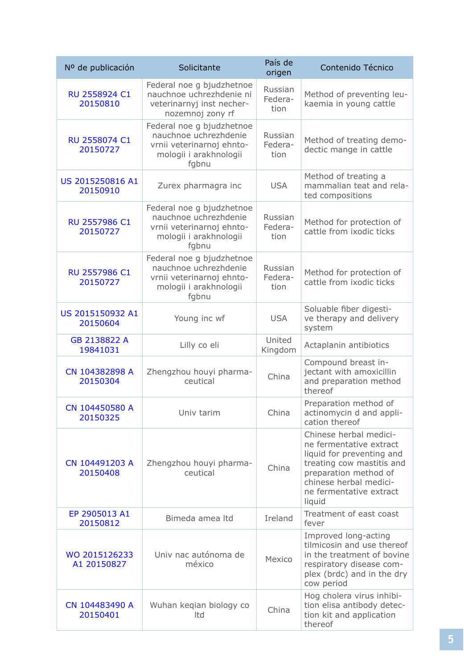| Nº de publicación            | Solicitante                                                                                                        | País de<br>origen          | Contenido Técnico                                                                                                                                                                                   |
|------------------------------|--------------------------------------------------------------------------------------------------------------------|----------------------------|-----------------------------------------------------------------------------------------------------------------------------------------------------------------------------------------------------|
| RU 2558924 C1<br>20150810    | Federal noe g bjudzhetnoe<br>nauchnoe uchrezhdenie ni<br>veterinarnyj inst necher-<br>nozemnoj zony rf             | Russian<br>Federa-<br>tion | Method of preventing leu-<br>kaemia in young cattle                                                                                                                                                 |
| RU 2558074 C1<br>20150727    | Federal noe g bjudzhetnoe<br>nauchnoe uchrezhdenie<br>vrnii veterinarnoj ehnto-<br>mologii i arakhnologii<br>fgbnu | Russian<br>Federa-<br>tion | Method of treating demo-<br>dectic mange in cattle                                                                                                                                                  |
| US 2015250816 A1<br>20150910 | Zurex pharmagra inc                                                                                                | <b>USA</b>                 | Method of treating a<br>mammalian teat and rela-<br>ted compositions                                                                                                                                |
| RU 2557986 C1<br>20150727    | Federal noe g bjudzhetnoe<br>nauchnoe uchrezhdenie<br>vrnii veterinarnoj ehnto-<br>mologii i arakhnologii<br>fgbnu | Russian<br>Federa-<br>tion | Method for protection of<br>cattle from ixodic ticks                                                                                                                                                |
| RU 2557986 C1<br>20150727    | Federal noe g bjudzhetnoe<br>nauchnoe uchrezhdenie<br>vrnii veterinarnoj ehnto-<br>mologii i arakhnologii<br>fgbnu | Russian<br>Federa-<br>tion | Method for protection of<br>cattle from ixodic ticks                                                                                                                                                |
| US 2015150932 A1<br>20150604 | Young inc wf                                                                                                       | <b>USA</b>                 | Soluable fiber digesti-<br>ve therapy and delivery<br>system                                                                                                                                        |
| GB 2138822 A<br>19841031     | Lilly co eli                                                                                                       | United<br>Kingdom          | Actaplanin antibiotics                                                                                                                                                                              |
| CN 104382898 A<br>20150304   | Zhengzhou houyi pharma-<br>ceutical                                                                                | China                      | Compound breast in-<br>jectant with amoxicillin<br>and preparation method<br>thereof                                                                                                                |
| CN 104450580 A<br>20150325   | Univ tarim                                                                                                         | China                      | Preparation method of<br>actinomycin d and appli-<br>cation thereof                                                                                                                                 |
| CN 104491203 A<br>20150408   | Zhengzhou houyi pharma-<br>ceutical                                                                                | China                      | Chinese herbal medici-<br>ne fermentative extract<br>liquid for preventing and<br>treating cow mastitis and<br>preparation method of<br>chinese herbal medici-<br>ne fermentative extract<br>liquid |
| EP 2905013 A1<br>20150812    | Bimeda amea Itd                                                                                                    | Ireland                    | Treatment of east coast<br>fever                                                                                                                                                                    |
| WO 2015126233<br>A1 20150827 | Univ nac autónoma de<br>méxico                                                                                     | Mexico                     | Improved long-acting<br>tilmicosin and use thereof<br>in the treatment of bovine<br>respiratory disease com-<br>plex (brdc) and in the dry<br>cow period                                            |
| CN 104483490 A<br>20150401   | Wuhan keqian biology co<br>Itd                                                                                     | China                      | Hog cholera virus inhibi-<br>tion elisa antibody detec-<br>tion kit and application<br>thereof                                                                                                      |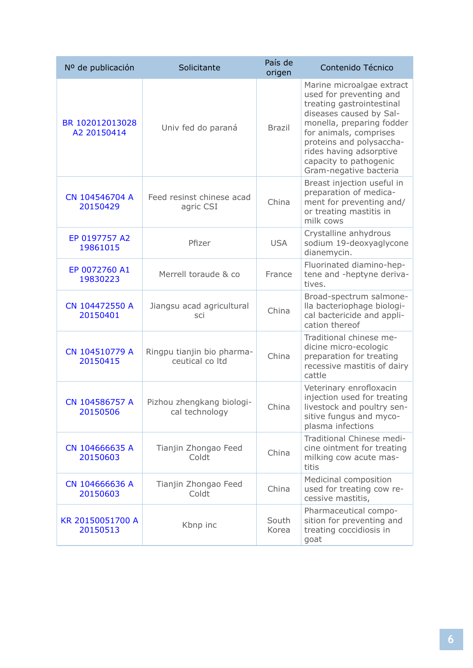| Nº de publicación              | Solicitante                                   | País de<br>origen | Contenido Técnico                                                                                                                                                                                                                                                              |
|--------------------------------|-----------------------------------------------|-------------------|--------------------------------------------------------------------------------------------------------------------------------------------------------------------------------------------------------------------------------------------------------------------------------|
| BR 102012013028<br>A2 20150414 | Univ fed do paraná                            | <b>Brazil</b>     | Marine microalgae extract<br>used for preventing and<br>treating gastrointestinal<br>diseases caused by Sal-<br>monella, preparing fodder<br>for animals, comprises<br>proteins and polysaccha-<br>rides having adsorptive<br>capacity to pathogenic<br>Gram-negative bacteria |
| CN 104546704 A<br>20150429     | Feed resinst chinese acad<br>agric CSI        | China             | Breast injection useful in<br>preparation of medica-<br>ment for preventing and/<br>or treating mastitis in<br>milk cows                                                                                                                                                       |
| EP 0197757 A2<br>19861015      | Pfizer                                        | <b>USA</b>        | Crystalline anhydrous<br>sodium 19-deoxyaglycone<br>dianemycin.                                                                                                                                                                                                                |
| EP 0072760 A1<br>19830223      | Merrell toraude & co                          | France            | Fluorinated diamino-hep-<br>tene and -heptyne deriva-<br>tives.                                                                                                                                                                                                                |
| CN 104472550 A<br>20150401     | Jiangsu acad agricultural<br>sci              | China             | Broad-spectrum salmone-<br>lla bacteriophage biologi-<br>cal bactericide and appli-<br>cation thereof                                                                                                                                                                          |
| CN 104510779 A<br>20150415     | Ringpu tianjin bio pharma-<br>ceutical co Itd | China             | Traditional chinese me-<br>dicine micro-ecologic<br>preparation for treating<br>recessive mastitis of dairy<br>cattle                                                                                                                                                          |
| CN 104586757 A<br>20150506     | Pizhou zhengkang biologi-<br>cal technology   | China             | Veterinary enrofloxacin<br>injection used for treating<br>livestock and poultry sen-<br>sitive fungus and myco-<br>plasma infections                                                                                                                                           |
| CN 104666635 A<br>20150603     | Tianjin Zhongao Feed<br>Coldt                 | China             | Traditional Chinese medi-<br>cine ointment for treating<br>milking cow acute mas-<br>titis                                                                                                                                                                                     |
| CN 104666636 A<br>20150603     | Tianjin Zhongao Feed<br>Coldt                 | China             | Medicinal composition<br>used for treating cow re-<br>cessive mastitis,                                                                                                                                                                                                        |
| KR 20150051700 A<br>20150513   | Kbnp inc                                      | South<br>Korea    | Pharmaceutical compo-<br>sition for preventing and<br>treating coccidiosis in<br>goat                                                                                                                                                                                          |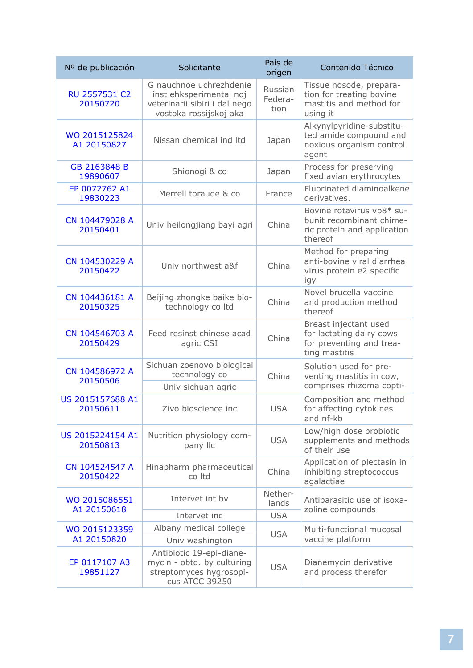| Nº de publicación            | Solicitante                                                                                                   | País de<br>origen          | Contenido Técnico                                                                               |
|------------------------------|---------------------------------------------------------------------------------------------------------------|----------------------------|-------------------------------------------------------------------------------------------------|
| RU 2557531 C2<br>20150720    | G nauchnoe uchrezhdenie<br>inst ehksperimental noj<br>veterinarii sibiri i dal nego<br>vostoka rossijskoj aka | Russian<br>Federa-<br>tion | Tissue nosode, prepara-<br>tion for treating bovine<br>mastitis and method for<br>using it      |
| WO 2015125824<br>A1 20150827 | Nissan chemical ind Itd                                                                                       | Japan                      | Alkynylpyridine-substitu-<br>ted amide compound and<br>noxious organism control<br>agent        |
| GB 2163848 B<br>19890607     | Shionogi & co                                                                                                 | Japan                      | Process for preserving<br>fixed avian erythrocytes                                              |
| EP 0072762 A1<br>19830223    | Merrell toraude & co                                                                                          | France                     | Fluorinated diaminoalkene<br>derivatives.                                                       |
| CN 104479028 A<br>20150401   | Univ heilongjiang bayi agri                                                                                   | China                      | Bovine rotavirus vp8* su-<br>bunit recombinant chime-<br>ric protein and application<br>thereof |
| CN 104530229 A<br>20150422   | Univ northwest a&f                                                                                            | China                      | Method for preparing<br>anti-bovine viral diarrhea<br>virus protein e2 specific<br>igy          |
| CN 104436181 A<br>20150325   | Beijing zhongke baike bio-<br>technology co Itd                                                               | China                      | Novel brucella vaccine<br>and production method<br>thereof                                      |
| CN 104546703 A<br>20150429   | Feed resinst chinese acad<br>agric CSI                                                                        | China                      | Breast injectant used<br>for lactating dairy cows<br>for preventing and trea-<br>ting mastitis  |
| CN 104586972 A<br>20150506   | Sichuan zoenovo biological<br>technology co                                                                   | China                      | Solution used for pre-<br>venting mastitis in cow,                                              |
|                              | Univ sichuan agric                                                                                            |                            | comprises rhizoma copti-                                                                        |
| US 2015157688 A1<br>20150611 | Zivo bioscience inc                                                                                           | <b>USA</b>                 | Composition and method<br>for affecting cytokines<br>and nf-kb                                  |
| US 2015224154 A1<br>20150813 | Nutrition physiology com-<br>pany IIc                                                                         | <b>USA</b>                 | Low/high dose probiotic<br>supplements and methods<br>of their use                              |
| CN 104524547 A<br>20150422   | Hinapharm pharmaceutical<br>co Itd                                                                            | China                      | Application of plectasin in<br>inhibiting streptococcus<br>agalactiae                           |
| WO 2015086551<br>A1 20150618 | Intervet int by                                                                                               | Nether-<br>lands           | Antiparasitic use of isoxa-                                                                     |
|                              | Intervet inc                                                                                                  | <b>USA</b>                 | zoline compounds                                                                                |
| WO 2015123359                | Albany medical college                                                                                        | <b>USA</b>                 | Multi-functional mucosal                                                                        |
| A1 20150820                  | Univ washington                                                                                               |                            | vaccine platform                                                                                |
| EP 0117107 A3<br>19851127    | Antibiotic 19-epi-diane-<br>mycin - obtd. by culturing<br>streptomyces hygrosopi-<br>cus ATCC 39250           | <b>USA</b>                 | Dianemycin derivative<br>and process therefor                                                   |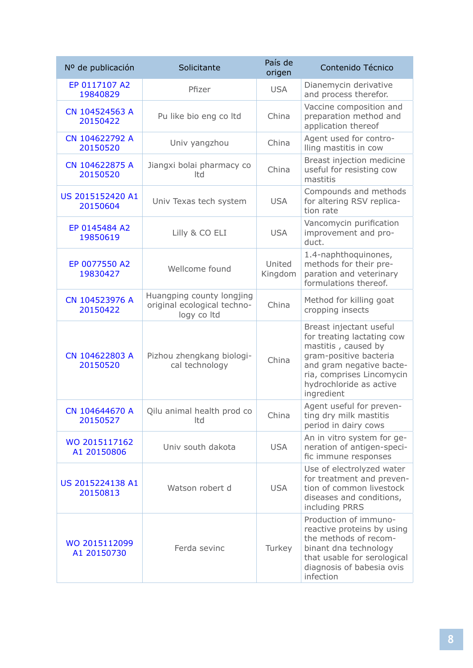| Nº de publicación            | Solicitante                                                             | País de<br>origen | Contenido Técnico                                                                                                                                                                                        |
|------------------------------|-------------------------------------------------------------------------|-------------------|----------------------------------------------------------------------------------------------------------------------------------------------------------------------------------------------------------|
| EP 0117107 A2<br>19840829    | Pfizer                                                                  | <b>USA</b>        | Dianemycin derivative<br>and process therefor.                                                                                                                                                           |
| CN 104524563 A<br>20150422   | Pu like bio eng co ltd                                                  | China             | Vaccine composition and<br>preparation method and<br>application thereof                                                                                                                                 |
| CN 104622792 A<br>20150520   | Univ yangzhou                                                           | China             | Agent used for contro-<br>lling mastitis in cow                                                                                                                                                          |
| CN 104622875 A<br>20150520   | Jiangxi bolai pharmacy co<br>Itd                                        | China             | Breast injection medicine<br>useful for resisting cow<br>mastitis                                                                                                                                        |
| US 2015152420 A1<br>20150604 | Univ Texas tech system                                                  | <b>USA</b>        | Compounds and methods<br>for altering RSV replica-<br>tion rate                                                                                                                                          |
| EP 0145484 A2<br>19850619    | Lilly & CO ELI                                                          | <b>USA</b>        | Vancomycin purification<br>improvement and pro-<br>duct.                                                                                                                                                 |
| EP 0077550 A2<br>19830427    | Wellcome found                                                          | United<br>Kingdom | 1.4-naphthoquinones,<br>methods for their pre-<br>paration and veterinary<br>formulations thereof.                                                                                                       |
| CN 104523976 A<br>20150422   | Huangping county longjing<br>original ecological techno-<br>logy co Itd | China             | Method for killing goat<br>cropping insects                                                                                                                                                              |
| CN 104622803 A<br>20150520   | Pizhou zhengkang biologi-<br>cal technology                             | China             | Breast injectant useful<br>for treating lactating cow<br>mastitis, caused by<br>gram-positive bacteria<br>and gram negative bacte-<br>ria, comprises Lincomycin<br>hydrochloride as active<br>ingredient |
| CN 104644670 A<br>20150527   | Qilu animal health prod co<br>Itd                                       | China             | Agent useful for preven-<br>ting dry milk mastitis<br>period in dairy cows                                                                                                                               |
| WO 2015117162<br>A1 20150806 | Univ south dakota                                                       | <b>USA</b>        | An in vitro system for ge-<br>neration of antigen-speci-<br>fic immune responses                                                                                                                         |
| US 2015224138 A1<br>20150813 | Watson robert d                                                         | <b>USA</b>        | Use of electrolyzed water<br>for treatment and preven-<br>tion of common livestock<br>diseases and conditions,<br>including PRRS                                                                         |
| WO 2015112099<br>A1 20150730 | Ferda sevinc                                                            | Turkey            | Production of immuno-<br>reactive proteins by using<br>the methods of recom-<br>binant dna technology<br>that usable for serological<br>diagnosis of babesia ovis<br>infection                           |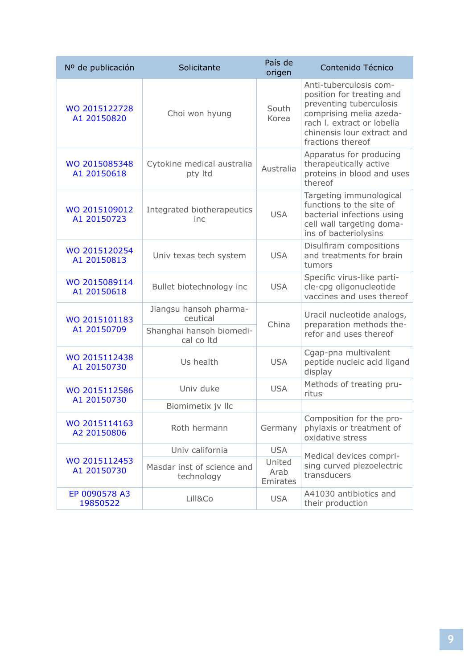| Nº de publicación            | Solicitante                                                                  | País de<br>origen          | Contenido Técnico                                                                                                                                                                          |
|------------------------------|------------------------------------------------------------------------------|----------------------------|--------------------------------------------------------------------------------------------------------------------------------------------------------------------------------------------|
| WO 2015122728<br>A1 20150820 | Choi won hyung                                                               | South<br>Korea             | Anti-tuberculosis com-<br>position for treating and<br>preventing tuberculosis<br>comprising melia azeda-<br>rach I. extract or lobelia<br>chinensis lour extract and<br>fractions thereof |
| WO 2015085348<br>A1 20150618 | Cytokine medical australia<br>pty Itd                                        | Australia                  | Apparatus for producing<br>therapeutically active<br>proteins in blood and uses<br>thereof                                                                                                 |
| WO 2015109012<br>A1 20150723 | Integrated biotherapeutics<br>inc                                            | <b>USA</b>                 | Targeting immunological<br>functions to the site of<br>bacterial infections using<br>cell wall targeting doma-<br>ins of bacteriolysins                                                    |
| WO 2015120254<br>A1 20150813 | Univ texas tech system                                                       | <b>USA</b>                 | Disulfiram compositions<br>and treatments for brain<br>tumors                                                                                                                              |
| WO 2015089114<br>A1 20150618 | Bullet biotechnology inc                                                     | <b>USA</b>                 | Specific virus-like parti-<br>cle-cpg oligonucleotide<br>vaccines and uses thereof                                                                                                         |
| WO 2015101183<br>A1 20150709 | Jiangsu hansoh pharma-<br>ceutical<br>Shanghai hansoh biomedi-<br>cal co Itd | China                      | Uracil nucleotide analogs,<br>preparation methods the-<br>refor and uses thereof                                                                                                           |
| WO 2015112438<br>A1 20150730 | Us health                                                                    | <b>USA</b>                 | Cgap-pna multivalent<br>peptide nucleic acid ligand<br>display                                                                                                                             |
| WO 2015112586<br>A1 20150730 | Univ duke                                                                    | <b>USA</b>                 | Methods of treating pru-<br>ritus                                                                                                                                                          |
|                              | Biomimetix jv Ilc                                                            |                            |                                                                                                                                                                                            |
| WO 2015114163<br>A2 20150806 | Roth hermann                                                                 | Germany                    | Composition for the pro-<br>phylaxis or treatment of<br>oxidative stress                                                                                                                   |
|                              | Univ california                                                              | <b>USA</b>                 |                                                                                                                                                                                            |
| WO 2015112453<br>A1 20150730 | Masdar inst of science and<br>technology                                     | United<br>Arab<br>Emirates | Medical devices compri-<br>sing curved piezoelectric<br>transducers                                                                                                                        |
| EP 0090578 A3<br>19850522    | Lill&Co                                                                      | <b>USA</b>                 | A41030 antibiotics and<br>their production                                                                                                                                                 |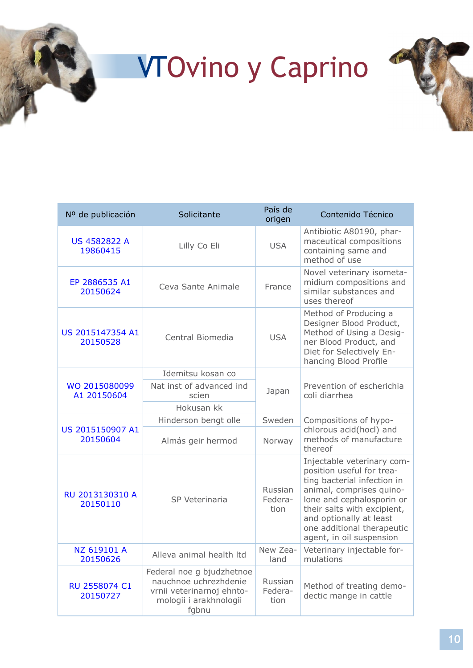# <span id="page-9-0"></span>**<sup>1</sup>** VTOvino y Caprino



| Nº de publicación               | Solicitante                                                                                                        | País de<br>origen          | Contenido Técnico                                                                                                                                                                                                                                                   |
|---------------------------------|--------------------------------------------------------------------------------------------------------------------|----------------------------|---------------------------------------------------------------------------------------------------------------------------------------------------------------------------------------------------------------------------------------------------------------------|
| <b>US 4582822 A</b><br>19860415 | Lilly Co Eli                                                                                                       | <b>USA</b>                 | Antibiotic A80190, phar-<br>maceutical compositions<br>containing same and<br>method of use                                                                                                                                                                         |
| EP 2886535 A1<br>20150624       | Ceva Sante Animale                                                                                                 | France                     | Novel veterinary isometa-<br>midium compositions and<br>similar substances and<br>uses thereof                                                                                                                                                                      |
| US 2015147354 A1<br>20150528    | Central Biomedia                                                                                                   | <b>USA</b>                 | Method of Producing a<br>Designer Blood Product,<br>Method of Using a Desig-<br>ner Blood Product, and<br>Diet for Selectively En-<br>hancing Blood Profile                                                                                                         |
|                                 | Idemitsu kosan co                                                                                                  |                            |                                                                                                                                                                                                                                                                     |
| WO 2015080099<br>A1 20150604    | Nat inst of advanced ind<br>scien                                                                                  | Japan                      | Prevention of escherichia<br>coli diarrhea                                                                                                                                                                                                                          |
|                                 | Hokusan kk                                                                                                         |                            |                                                                                                                                                                                                                                                                     |
|                                 | Hinderson bengt olle                                                                                               | Sweden                     | Compositions of hypo-                                                                                                                                                                                                                                               |
| US 2015150907 A1<br>20150604    | Almás geir hermod                                                                                                  | Norway                     | chlorous acid(hocl) and<br>methods of manufacture<br>thereof                                                                                                                                                                                                        |
| RU 2013130310 A<br>20150110     | SP Veterinaria                                                                                                     | Russian<br>Federa-<br>tion | Injectable veterinary com-<br>position useful for trea-<br>ting bacterial infection in<br>animal, comprises quino-<br>lone and cephalosporin or<br>their salts with excipient,<br>and optionally at least<br>one additional therapeutic<br>agent, in oil suspension |
| NZ 619101 A<br>20150626         | Alleva animal health Itd                                                                                           | New Zea-<br>land           | Veterinary injectable for-<br>mulations                                                                                                                                                                                                                             |
| RU 2558074 C1<br>20150727       | Federal noe g bjudzhetnoe<br>nauchnoe uchrezhdenie<br>vrnii veterinarnoj ehnto-<br>mologii i arakhnologii<br>fgbnu | Russian<br>Federa-<br>tion | Method of treating demo-<br>dectic mange in cattle                                                                                                                                                                                                                  |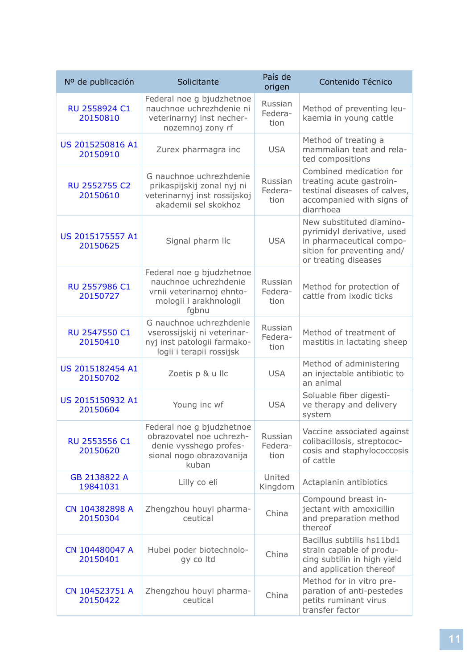| Nº de publicación            | Solicitante                                                                                                          | País de<br>origen          | Contenido Técnico                                                                                                                        |
|------------------------------|----------------------------------------------------------------------------------------------------------------------|----------------------------|------------------------------------------------------------------------------------------------------------------------------------------|
| RU 2558924 C1<br>20150810    | Federal noe g bjudzhetnoe<br>nauchnoe uchrezhdenie ni<br>veterinarnyj inst necher-<br>nozemnoj zony rf               | Russian<br>Federa-<br>tion | Method of preventing leu-<br>kaemia in young cattle                                                                                      |
| US 2015250816 A1<br>20150910 | Zurex pharmagra inc                                                                                                  | <b>USA</b>                 | Method of treating a<br>mammalian teat and rela-<br>ted compositions                                                                     |
| RU 2552755 C2<br>20150610    | G nauchnoe uchrezhdenie<br>prikaspijskij zonal nyj ni<br>veterinarnyj inst rossijskoj<br>akademii sel skokhoz        | Russian<br>Federa-<br>tion | Combined medication for<br>treating acute gastroin-<br>testinal diseases of calves,<br>accompanied with signs of<br>diarrhoea            |
| US 2015175557 A1<br>20150625 | Signal pharm IIc                                                                                                     | <b>USA</b>                 | New substituted diamino-<br>pyrimidyl derivative, used<br>in pharmaceutical compo-<br>sition for preventing and/<br>or treating diseases |
| RU 2557986 C1<br>20150727    | Federal noe g bjudzhetnoe<br>nauchnoe uchrezhdenie<br>vrnii veterinarnoj ehnto-<br>mologii i arakhnologii<br>fgbnu   | Russian<br>Federa-<br>tion | Method for protection of<br>cattle from ixodic ticks                                                                                     |
| RU 2547550 C1<br>20150410    | G nauchnoe uchrezhdenie<br>vserossijskij ni veterinar-<br>nyj inst patologii farmako-<br>logii i terapii rossijsk    | Russian<br>Federa-<br>tion | Method of treatment of<br>mastitis in lactating sheep                                                                                    |
| US 2015182454 A1<br>20150702 | Zoetis p & u llc                                                                                                     | <b>USA</b>                 | Method of administering<br>an injectable antibiotic to<br>an animal                                                                      |
| US 2015150932 A1<br>20150604 | Young inc wf                                                                                                         | <b>USA</b>                 | Soluable fiber digesti-<br>ve therapy and delivery<br>system                                                                             |
| RU 2553556 C1<br>20150620    | Federal noe g bjudzhetnoe<br>obrazovatel noe uchrezh-<br>denie vysshego profes-<br>sional nogo obrazovanija<br>kuban | Russian<br>Federa-<br>tion | Vaccine associated against<br>colibacillosis, streptococ-<br>cosis and staphylococcosis<br>of cattle                                     |
| GB 2138822 A<br>19841031     | Lilly co eli                                                                                                         | United<br>Kingdom          | Actaplanin antibiotics                                                                                                                   |
| CN 104382898 A<br>20150304   | Zhengzhou houyi pharma-<br>ceutical                                                                                  | China                      | Compound breast in-<br>jectant with amoxicillin<br>and preparation method<br>thereof                                                     |
| CN 104480047 A<br>20150401   | Hubei poder biotechnolo-<br>gy co Itd                                                                                | China                      | Bacillus subtilis hs11bd1<br>strain capable of produ-<br>cing subtilin in high yield<br>and application thereof                          |
| CN 104523751 A<br>20150422   | Zhengzhou houyi pharma-<br>ceutical                                                                                  | China                      | Method for in vitro pre-<br>paration of anti-pestedes<br>petits ruminant virus<br>transfer factor                                        |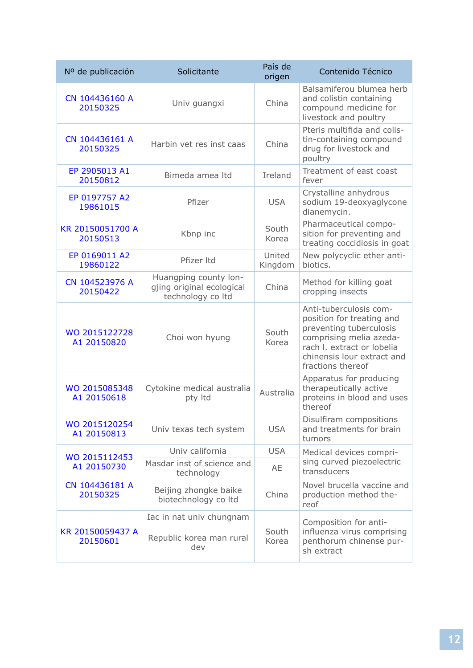| Solicitante                                                             | País de<br>origen | Contenido Técnico                                                                                                                                                                          |
|-------------------------------------------------------------------------|-------------------|--------------------------------------------------------------------------------------------------------------------------------------------------------------------------------------------|
| Univ guangxi                                                            | China             | Balsamiferou blumea herb<br>and colistin containing<br>compound medicine for<br>livestock and poultry                                                                                      |
| Harbin vet res inst caas                                                | China             | Pteris multifida and colis-<br>tin-containing compound<br>drug for livestock and<br>poultry                                                                                                |
| Bimeda amea Itd                                                         | Ireland           | Treatment of east coast<br>fever                                                                                                                                                           |
| Pfizer                                                                  | <b>USA</b>        | Crystalline anhydrous<br>sodium 19-deoxyaglycone<br>dianemycin.                                                                                                                            |
| Kbnp inc                                                                | South<br>Korea    | Pharmaceutical compo-<br>sition for preventing and<br>treating coccidiosis in goat                                                                                                         |
| Pfizer Itd                                                              | United<br>Kingdom | New polycyclic ether anti-<br>biotics.                                                                                                                                                     |
| Huangping county lon-<br>gjing original ecological<br>technology co ltd | China             | Method for killing goat<br>cropping insects                                                                                                                                                |
| Choi won hyung                                                          | South<br>Korea    | Anti-tuberculosis com-<br>position for treating and<br>preventing tuberculosis<br>comprising melia azeda-<br>rach I. extract or lobelia<br>chinensis lour extract and<br>fractions thereof |
| Cytokine medical australia<br>pty Itd                                   | Australia         | Apparatus for producing<br>therapeutically active<br>proteins in blood and uses<br>thereof                                                                                                 |
| Univ texas tech system                                                  | <b>USA</b>        | Disulfiram compositions<br>and treatments for brain<br>tumors                                                                                                                              |
| Univ california                                                         | <b>USA</b>        | Medical devices compri-                                                                                                                                                                    |
| Masdar inst of science and<br>technology                                | AE                | sing curved piezoelectric<br>transducers                                                                                                                                                   |
| Beijing zhongke baike<br>biotechnology co ltd                           | China             | Novel brucella vaccine and<br>production method the-<br>reof                                                                                                                               |
| Iac in nat univ chungnam                                                |                   | Composition for anti-                                                                                                                                                                      |
| Republic korea man rural<br>dev                                         | South<br>Korea    | influenza virus comprising<br>penthorum chinense pur-<br>sh extract                                                                                                                        |
|                                                                         |                   |                                                                                                                                                                                            |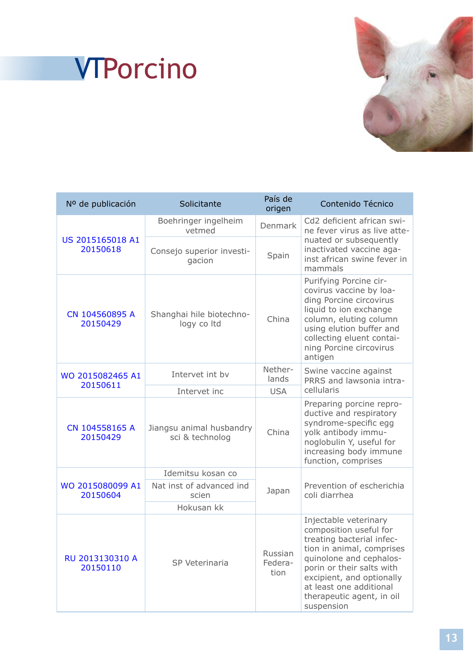

## <span id="page-12-0"></span>**<sup>1</sup>** VTPorcino

| Nº de publicación            | Solicitante                                 | País de<br>origen          | Contenido Técnico                                                                                                                                                                                                                                                    |
|------------------------------|---------------------------------------------|----------------------------|----------------------------------------------------------------------------------------------------------------------------------------------------------------------------------------------------------------------------------------------------------------------|
| US 2015165018 A1<br>20150618 | Boehringer ingelheim<br>vetmed              | <b>Denmark</b>             | Cd2 deficient african swi-<br>ne fever virus as live atte-                                                                                                                                                                                                           |
|                              | Consejo superior investi-<br>gacion         | Spain                      | nuated or subsequently<br>inactivated vaccine aga-<br>inst african swine fever in<br>mammals                                                                                                                                                                         |
| CN 104560895 A<br>20150429   | Shanghai hile biotechno-<br>logy co Itd     | China                      | Purifying Porcine cir-<br>covirus vaccine by loa-<br>ding Porcine circovirus<br>liquid to ion exchange<br>column, eluting column<br>using elution buffer and<br>collecting eluent contai-<br>ning Porcine circovirus<br>antigen                                      |
| WO 2015082465 A1             | Intervet int by                             | Nether-<br>lands           | Swine vaccine against<br>PRRS and lawsonia intra-                                                                                                                                                                                                                    |
| 20150611                     | Intervet inc                                | <b>USA</b>                 | cellularis                                                                                                                                                                                                                                                           |
| CN 104558165 A<br>20150429   | Jiangsu animal husbandry<br>sci & technolog | China                      | Preparing porcine repro-<br>ductive and respiratory<br>syndrome-specific egg<br>yolk antibody immu-<br>noglobulin Y, useful for<br>increasing body immune<br>function, comprises                                                                                     |
|                              | Idemitsu kosan co                           |                            |                                                                                                                                                                                                                                                                      |
| WO 2015080099 A1<br>20150604 | Nat inst of advanced ind<br>scien           | Japan                      | Prevention of escherichia<br>coli diarrhea                                                                                                                                                                                                                           |
|                              | Hokusan kk                                  |                            |                                                                                                                                                                                                                                                                      |
| RU 2013130310 A<br>20150110  | SP Veterinaria                              | Russian<br>Federa-<br>tion | Injectable veterinary<br>composition useful for<br>treating bacterial infec-<br>tion in animal, comprises<br>quinolone and cephalos-<br>porin or their salts with<br>excipient, and optionally<br>at least one additional<br>therapeutic agent, in oil<br>suspension |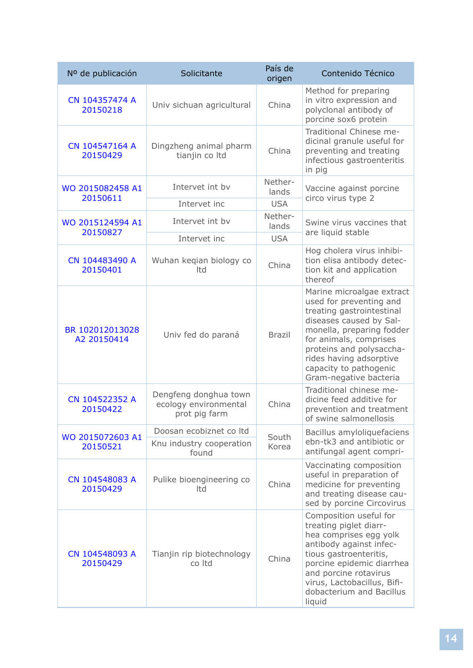| Nº de publicación              | Solicitante                                                     | País de<br>origen | Contenido Técnico                                                                                                                                                                                                                                                              |
|--------------------------------|-----------------------------------------------------------------|-------------------|--------------------------------------------------------------------------------------------------------------------------------------------------------------------------------------------------------------------------------------------------------------------------------|
| CN 104357474 A<br>20150218     | Univ sichuan agricultural                                       | China             | Method for preparing<br>in vitro expression and<br>polyclonal antibody of<br>porcine sox6 protein                                                                                                                                                                              |
| CN 104547164 A<br>20150429     | Dingzheng animal pharm<br>tianjin co Itd                        | China             | Traditional Chinese me-<br>dicinal granule useful for<br>preventing and treating<br>infectious gastroenteritis<br>in pig                                                                                                                                                       |
| WO 2015082458 A1<br>20150611   | Intervet int by                                                 | Nether-<br>lands  | Vaccine against porcine<br>circo virus type 2                                                                                                                                                                                                                                  |
|                                | Intervet inc                                                    | <b>USA</b>        |                                                                                                                                                                                                                                                                                |
| WO 2015124594 A1<br>20150827   | Intervet int by                                                 | Nether-<br>lands  | Swine virus vaccines that<br>are liquid stable                                                                                                                                                                                                                                 |
|                                | Intervet inc                                                    | <b>USA</b>        |                                                                                                                                                                                                                                                                                |
| CN 104483490 A<br>20150401     | Wuhan keqian biology co<br>Itd                                  | China             | Hog cholera virus inhibi-<br>tion elisa antibody detec-<br>tion kit and application<br>thereof                                                                                                                                                                                 |
| BR 102012013028<br>A2 20150414 | Univ fed do paraná                                              | <b>Brazil</b>     | Marine microalgae extract<br>used for preventing and<br>treating gastrointestinal<br>diseases caused by Sal-<br>monella, preparing fodder<br>for animals, comprises<br>proteins and polysaccha-<br>rides having adsorptive<br>capacity to pathogenic<br>Gram-negative bacteria |
| CN 104522352 A<br>20150422     | Dengfeng donghua town<br>ecology environmental<br>prot pig farm | China             | Traditional chinese me-<br>dicine feed additive for<br>prevention and treatment<br>of swine salmonellosis                                                                                                                                                                      |
| WO 2015072603 A1<br>20150521   | Doosan ecobiznet co Itd<br>Knu industry cooperation<br>found    | South<br>Korea    | Bacillus amyloliquefaciens<br>ebn-tk3 and antibiotic or<br>antifungal agent compri-                                                                                                                                                                                            |
| CN 104548083 A<br>20150429     | Pulike bioengineering co<br>Itd                                 | China             | Vaccinating composition<br>useful in preparation of<br>medicine for preventing<br>and treating disease cau-<br>sed by porcine Circovirus                                                                                                                                       |
| CN 104548093 A<br>20150429     | Tianjin rip biotechnology<br>co Itd                             | China             | Composition useful for<br>treating piglet diarr-<br>hea comprises egg yolk<br>antibody against infec-<br>tious gastroenteritis,<br>porcine epidemic diarrhea<br>and porcine rotavirus<br>virus, Lactobacillus, Bifi-<br>dobacterium and Bacillus<br>liquid                     |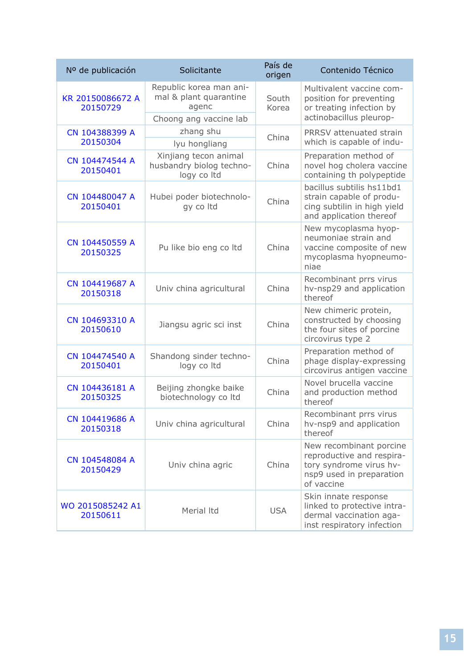| Nº de publicación            | Solicitante                                                                          | País de<br>origen | Contenido Técnico                                                                                                         |
|------------------------------|--------------------------------------------------------------------------------------|-------------------|---------------------------------------------------------------------------------------------------------------------------|
| KR 20150086672 A<br>20150729 | Republic korea man ani-<br>mal & plant quarantine<br>agenc<br>Choong ang vaccine lab | South<br>Korea    | Multivalent vaccine com-<br>position for preventing<br>or treating infection by<br>actinobacillus pleurop-                |
| CN 104388399 A               | zhang shu                                                                            |                   | PRRSV attenuated strain                                                                                                   |
| 20150304                     | lyu hongliang                                                                        | China             | which is capable of indu-                                                                                                 |
| CN 104474544 A<br>20150401   | Xinjiang tecon animal<br>husbandry biolog techno-<br>logy co Itd                     | China             | Preparation method of<br>novel hog cholera vaccine<br>containing th polypeptide                                           |
| CN 104480047 A<br>20150401   | Hubei poder biotechnolo-<br>gy co Itd                                                | China             | bacillus subtilis hs11bd1<br>strain capable of produ-<br>cing subtilin in high yield<br>and application thereof           |
| CN 104450559 A<br>20150325   | Pu like bio eng co ltd                                                               | China             | New mycoplasma hyop-<br>neumoniae strain and<br>vaccine composite of new<br>mycoplasma hyopneumo-<br>niae                 |
| CN 104419687 A<br>20150318   | Univ china agricultural                                                              | China             | Recombinant prrs virus<br>hv-nsp29 and application<br>thereof                                                             |
| CN 104693310 A<br>20150610   | Jiangsu agric sci inst                                                               | China             | New chimeric protein,<br>constructed by choosing<br>the four sites of porcine<br>circovirus type 2                        |
| CN 104474540 A<br>20150401   | Shandong sinder techno-<br>logy co Itd                                               | China             | Preparation method of<br>phage display-expressing<br>circovirus antigen vaccine                                           |
| CN 104436181 A<br>20150325   | Beijing zhongke baike<br>biotechnology co Itd                                        | China             | Novel brucella vaccine<br>and production method<br>thereof                                                                |
| CN 104419686 A<br>20150318   | Univ china agricultural                                                              | China             | Recombinant prrs virus<br>hv-nsp9 and application<br>thereof                                                              |
| CN 104548084 A<br>20150429   | Univ china agric                                                                     | China             | New recombinant porcine<br>reproductive and respira-<br>tory syndrome virus hv-<br>nsp9 used in preparation<br>of vaccine |
| WO 2015085242 A1<br>20150611 | Merial Itd                                                                           | <b>USA</b>        | Skin innate response<br>linked to protective intra-<br>dermal vaccination aga-<br>inst respiratory infection              |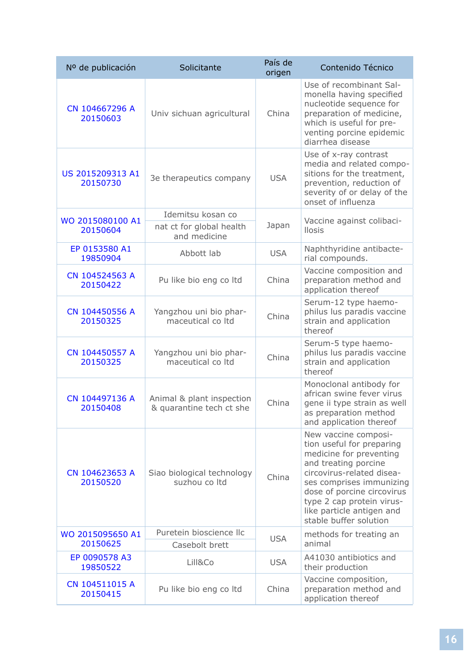| Nº de publicación            | Solicitante                                           | País de<br>origen | Contenido Técnico                                                                                                                                                                                                                                                               |
|------------------------------|-------------------------------------------------------|-------------------|---------------------------------------------------------------------------------------------------------------------------------------------------------------------------------------------------------------------------------------------------------------------------------|
| CN 104667296 A<br>20150603   | Univ sichuan agricultural                             | China             | Use of recombinant Sal-<br>monella having specified<br>nucleotide sequence for<br>preparation of medicine,<br>which is useful for pre-<br>venting porcine epidemic<br>diarrhea disease                                                                                          |
| US 2015209313 A1<br>20150730 | 3e therapeutics company                               | <b>USA</b>        | Use of x-ray contrast<br>media and related compo-<br>sitions for the treatment,<br>prevention, reduction of<br>severity of or delay of the<br>onset of influenza                                                                                                                |
| WO 2015080100 A1             | Idemitsu kosan co                                     |                   | Vaccine against colibaci-                                                                                                                                                                                                                                                       |
| 20150604                     | nat ct for global health<br>and medicine              | Japan             | <b>Ilosis</b>                                                                                                                                                                                                                                                                   |
| EP 0153580 A1<br>19850904    | Abbott lab                                            | <b>USA</b>        | Naphthyridine antibacte-<br>rial compounds.                                                                                                                                                                                                                                     |
| CN 104524563 A<br>20150422   | Pu like bio eng co ltd                                | China             | Vaccine composition and<br>preparation method and<br>application thereof                                                                                                                                                                                                        |
| CN 104450556 A<br>20150325   | Yangzhou uni bio phar-<br>maceutical co Itd           | China             | Serum-12 type haemo-<br>philus lus paradis vaccine<br>strain and application<br>thereof                                                                                                                                                                                         |
| CN 104450557 A<br>20150325   | Yangzhou uni bio phar-<br>maceutical co Itd           | China             | Serum-5 type haemo-<br>philus lus paradis vaccine<br>strain and application<br>thereof                                                                                                                                                                                          |
| CN 104497136 A<br>20150408   | Animal & plant inspection<br>& quarantine tech ct she | China             | Monoclonal antibody for<br>african swine fever virus<br>gene ii type strain as well<br>as preparation method<br>and application thereof                                                                                                                                         |
| CN 104623653 A<br>20150520   | Siao biological technology<br>suzhou co Itd           | China             | New vaccine composi-<br>tion useful for preparing<br>medicine for preventing<br>and treating porcine<br>circovirus-related disea-<br>ses comprises immunizing<br>dose of porcine circovirus<br>type 2 cap protein virus-<br>like particle antigen and<br>stable buffer solution |
| WO 2015095650 A1             | Puretein bioscience llc                               | <b>USA</b>        | methods for treating an                                                                                                                                                                                                                                                         |
| 20150625                     | Casebolt brett                                        |                   | animal                                                                                                                                                                                                                                                                          |
| EP 0090578 A3<br>19850522    | Lill&Co                                               | <b>USA</b>        | A41030 antibiotics and<br>their production                                                                                                                                                                                                                                      |
| CN 104511015 A<br>20150415   | Pu like bio eng co ltd                                | China             | Vaccine composition,<br>preparation method and<br>application thereof                                                                                                                                                                                                           |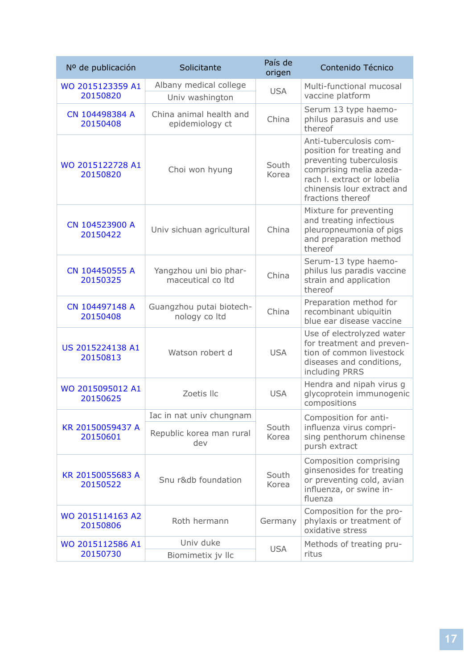| Nº de publicación            | Solicitante                                 | País de<br>origen | Contenido Técnico                                                                                                                                                                          |
|------------------------------|---------------------------------------------|-------------------|--------------------------------------------------------------------------------------------------------------------------------------------------------------------------------------------|
| WO 2015123359 A1<br>20150820 | Albany medical college<br>Univ washington   | <b>USA</b>        | Multi-functional mucosal<br>vaccine platform                                                                                                                                               |
| CN 104498384 A<br>20150408   | China animal health and<br>epidemiology ct  | China             | Serum 13 type haemo-<br>philus parasuis and use<br>thereof                                                                                                                                 |
| WO 2015122728 A1<br>20150820 | Choi won hyung                              | South<br>Korea    | Anti-tuberculosis com-<br>position for treating and<br>preventing tuberculosis<br>comprising melia azeda-<br>rach I. extract or lobelia<br>chinensis lour extract and<br>fractions thereof |
| CN 104523900 A<br>20150422   | Univ sichuan agricultural                   | China             | Mixture for preventing<br>and treating infectious<br>pleuropneumonia of pigs<br>and preparation method<br>thereof                                                                          |
| CN 104450555 A<br>20150325   | Yangzhou uni bio phar-<br>maceutical co Itd | China             | Serum-13 type haemo-<br>philus lus paradis vaccine<br>strain and application<br>thereof                                                                                                    |
| CN 104497148 A<br>20150408   | Guangzhou putai biotech-<br>nology co Itd   | China             | Preparation method for<br>recombinant ubiquitin<br>blue ear disease vaccine                                                                                                                |
| US 2015224138 A1<br>20150813 | Watson robert d                             | <b>USA</b>        | Use of electrolyzed water<br>for treatment and preven-<br>tion of common livestock<br>diseases and conditions,<br>including PRRS                                                           |
| WO 2015095012 A1<br>20150625 | Zoetis IIc                                  | <b>USA</b>        | Hendra and nipah virus g<br>glycoprotein immunogenic<br>compositions                                                                                                                       |
|                              | Iac in nat univ chungnam                    |                   | Composition for anti-<br>influenza virus compri-<br>sing penthorum chinense<br>pursh extract                                                                                               |
| KR 20150059437 A<br>20150601 | Republic korea man rural<br>dev             | South<br>Korea    |                                                                                                                                                                                            |
| KR 20150055683 A<br>20150522 | Snu r&db foundation                         | South<br>Korea    | Composition comprising<br>ginsenosides for treating<br>or preventing cold, avian<br>influenza, or swine in-<br>fluenza                                                                     |
| WO 2015114163 A2<br>20150806 | Roth hermann                                | Germany           | Composition for the pro-<br>phylaxis or treatment of<br>oxidative stress                                                                                                                   |
| WO 2015112586 A1             | Univ duke                                   | <b>USA</b>        | Methods of treating pru-                                                                                                                                                                   |
| 20150730                     | Biomimetix jv Ilc                           |                   | ritus                                                                                                                                                                                      |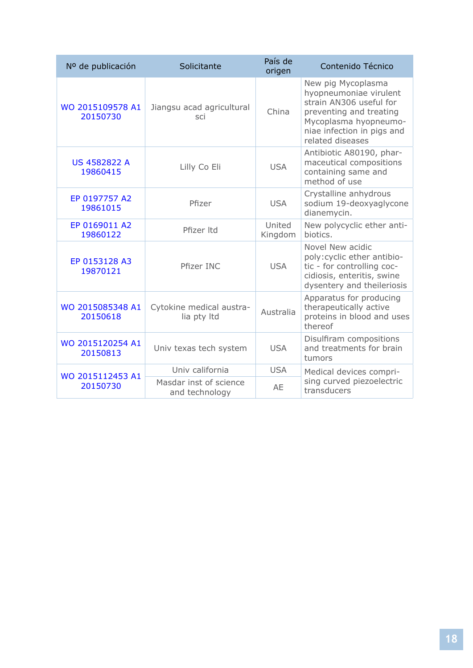| Nº de publicación               | Solicitante                              | País de<br>origen | Contenido Técnico                                                                                                                                                             |
|---------------------------------|------------------------------------------|-------------------|-------------------------------------------------------------------------------------------------------------------------------------------------------------------------------|
| WO 2015109578 A1<br>20150730    | Jiangsu acad agricultural<br>sci         | China             | New pig Mycoplasma<br>hyopneumoniae virulent<br>strain AN306 useful for<br>preventing and treating<br>Mycoplasma hyopneumo-<br>niae infection in pigs and<br>related diseases |
| <b>US 4582822 A</b><br>19860415 | Lilly Co Eli                             | <b>USA</b>        | Antibiotic A80190, phar-<br>maceutical compositions<br>containing same and<br>method of use                                                                                   |
| EP 0197757 A2<br>19861015       | Pfizer                                   | <b>USA</b>        | Crystalline anhydrous<br>sodium 19-deoxyaglycone<br>dianemycin.                                                                                                               |
| EP 0169011 A2<br>19860122       | Pfizer Itd                               | United<br>Kingdom | New polycyclic ether anti-<br>biotics.                                                                                                                                        |
| EP 0153128 A3<br>19870121       | Pfizer INC                               | <b>USA</b>        | Novel New acidic<br>poly: cyclic ether antibio-<br>tic - for controlling coc-<br>cidiosis, enteritis, swine<br>dysentery and theileriosis                                     |
| WO 2015085348 A1<br>20150618    | Cytokine medical austra-<br>lia pty Itd  | Australia         | Apparatus for producing<br>therapeutically active<br>proteins in blood and uses<br>thereof                                                                                    |
| WO 2015120254 A1<br>20150813    | Univ texas tech system                   | <b>USA</b>        | Disulfiram compositions<br>and treatments for brain<br>tumors                                                                                                                 |
| WO 2015112453 A1                | Univ california                          | <b>USA</b>        | Medical devices compri-                                                                                                                                                       |
| 20150730                        | Masdar inst of science<br>and technology | AE                | sing curved piezoelectric<br>transducers                                                                                                                                      |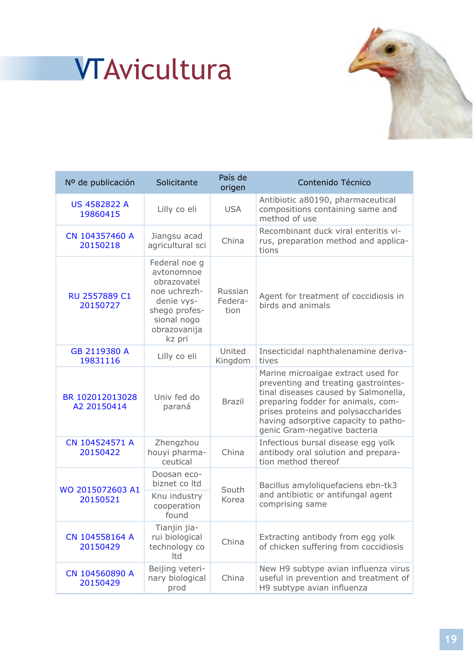

# <span id="page-18-0"></span>**<sup>1</sup>** VTAvicultura

| Nº de publicación               | Solicitante                                                                                                                        | País de<br>origen          | Contenido Técnico                                                                                                                                                                                                                                                       |
|---------------------------------|------------------------------------------------------------------------------------------------------------------------------------|----------------------------|-------------------------------------------------------------------------------------------------------------------------------------------------------------------------------------------------------------------------------------------------------------------------|
| <b>US 4582822 A</b><br>19860415 | Lilly co eli                                                                                                                       | <b>USA</b>                 | Antibiotic a80190, pharmaceutical<br>compositions containing same and<br>method of use                                                                                                                                                                                  |
| CN 104357460 A<br>20150218      | Jiangsu acad<br>agricultural sci                                                                                                   | China                      | Recombinant duck viral enteritis vi-<br>rus, preparation method and applica-<br>tions                                                                                                                                                                                   |
| RU 2557889 C1<br>20150727       | Federal noe g<br>avtonomnoe<br>obrazovatel<br>noe uchrezh-<br>denie vys-<br>shego profes-<br>sional nogo<br>obrazovanija<br>kz pri | Russian<br>Federa-<br>tion | Agent for treatment of coccidiosis in<br>birds and animals                                                                                                                                                                                                              |
| GB 2119380 A<br>19831116        | Lilly co eli                                                                                                                       | United<br>Kingdom          | Insecticidal naphthalenamine deriva-<br>tives                                                                                                                                                                                                                           |
| BR 102012013028<br>A2 20150414  | Univ fed do<br>paraná                                                                                                              | <b>Brazil</b>              | Marine microalgae extract used for<br>preventing and treating gastrointes-<br>tinal diseases caused by Salmonella,<br>preparing fodder for animals, com-<br>prises proteins and polysaccharides<br>having adsorptive capacity to patho-<br>genic Gram-negative bacteria |
| CN 104524571 A<br>20150422      | Zhengzhou<br>houyi pharma-<br>ceutical                                                                                             | China                      | Infectious bursal disease egg yolk<br>antibody oral solution and prepara-<br>tion method thereof                                                                                                                                                                        |
|                                 | Doosan eco-<br>biznet co Itd                                                                                                       |                            | Bacillus amyloliquefaciens ebn-tk3                                                                                                                                                                                                                                      |
| WO 2015072603 A1<br>20150521    | Knu industry<br>cooperation<br>found                                                                                               | South<br>Korea             | and antibiotic or antifungal agent<br>comprising same                                                                                                                                                                                                                   |
| CN 104558164 A<br>20150429      | Tianjin jia-<br>rui biological<br>technology co<br>Itd                                                                             | China                      | Extracting antibody from egg yolk<br>of chicken suffering from coccidiosis                                                                                                                                                                                              |
| CN 104560890 A<br>20150429      | Beijing veteri-<br>nary biological<br>prod                                                                                         | China                      | New H9 subtype avian influenza virus<br>useful in prevention and treatment of<br>H9 subtype avian influenza                                                                                                                                                             |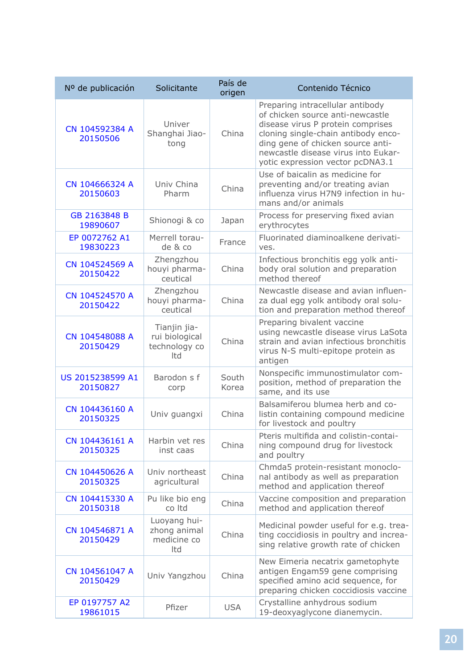| Nº de publicación            | Solicitante                                            | País de<br>origen | Contenido Técnico                                                                                                                                                                                                                                                |
|------------------------------|--------------------------------------------------------|-------------------|------------------------------------------------------------------------------------------------------------------------------------------------------------------------------------------------------------------------------------------------------------------|
| CN 104592384 A<br>20150506   | Univer<br>Shanghai Jiao-<br>tong                       | China             | Preparing intracellular antibody<br>of chicken source anti-newcastle<br>disease virus P protein comprises<br>cloning single-chain antibody enco-<br>ding gene of chicken source anti-<br>newcastle disease virus into Eukar-<br>yotic expression vector pcDNA3.1 |
| CN 104666324 A<br>20150603   | Univ China<br>Pharm                                    | China             | Use of baicalin as medicine for<br>preventing and/or treating avian<br>influenza virus H7N9 infection in hu-<br>mans and/or animals                                                                                                                              |
| GB 2163848 B<br>19890607     | Shionogi & co                                          | Japan             | Process for preserving fixed avian<br>erythrocytes                                                                                                                                                                                                               |
| EP 0072762 A1<br>19830223    | Merrell torau-<br>de & co                              | France            | Fluorinated diaminoalkene derivati-<br>ves.                                                                                                                                                                                                                      |
| CN 104524569 A<br>20150422   | Zhengzhou<br>houyi pharma-<br>ceutical                 | China             | Infectious bronchitis egg yolk anti-<br>body oral solution and preparation<br>method thereof                                                                                                                                                                     |
| CN 104524570 A<br>20150422   | Zhengzhou<br>houyi pharma-<br>ceutical                 | China             | Newcastle disease and avian influen-<br>za dual egg yolk antibody oral solu-<br>tion and preparation method thereof                                                                                                                                              |
| CN 104548088 A<br>20150429   | Tianjin jia-<br>rui biological<br>technology co<br>Itd | China             | Preparing bivalent vaccine<br>using newcastle disease virus LaSota<br>strain and avian infectious bronchitis<br>virus N-S multi-epitope protein as<br>antigen                                                                                                    |
| US 2015238599 A1<br>20150827 | Barodon s f<br>corp                                    | South<br>Korea    | Nonspecific immunostimulator com-<br>position, method of preparation the<br>same, and its use                                                                                                                                                                    |
| CN 104436160 A<br>20150325   | Univ guangxi                                           | China             | Balsamiferou blumea herb and co-<br>listin containing compound medicine<br>for livestock and poultry                                                                                                                                                             |
| CN 104436161 A<br>20150325   | Harbin vet res<br>inst caas                            | China             | Pteris multifida and colistin-contai-<br>ning compound drug for livestock<br>and poultry                                                                                                                                                                         |
| CN 104450626 A<br>20150325   | Univ northeast<br>agricultural                         | China             | Chmda5 protein-resistant monoclo-<br>nal antibody as well as preparation<br>method and application thereof                                                                                                                                                       |
| CN 104415330 A<br>20150318   | Pu like bio eng<br>co Itd                              | China             | Vaccine composition and preparation<br>method and application thereof                                                                                                                                                                                            |
| CN 104546871 A<br>20150429   | Luoyang hui-<br>zhong animal<br>medicine co<br>Itd     | China             | Medicinal powder useful for e.g. trea-<br>ting coccidiosis in poultry and increa-<br>sing relative growth rate of chicken                                                                                                                                        |
| CN 104561047 A<br>20150429   | Univ Yangzhou                                          | China             | New Eimeria necatrix gametophyte<br>antigen Engam59 gene comprising<br>specified amino acid sequence, for<br>preparing chicken coccidiosis vaccine                                                                                                               |
| EP 0197757 A2<br>19861015    | Pfizer                                                 | <b>USA</b>        | Crystalline anhydrous sodium<br>19-deoxyaglycone dianemycin.                                                                                                                                                                                                     |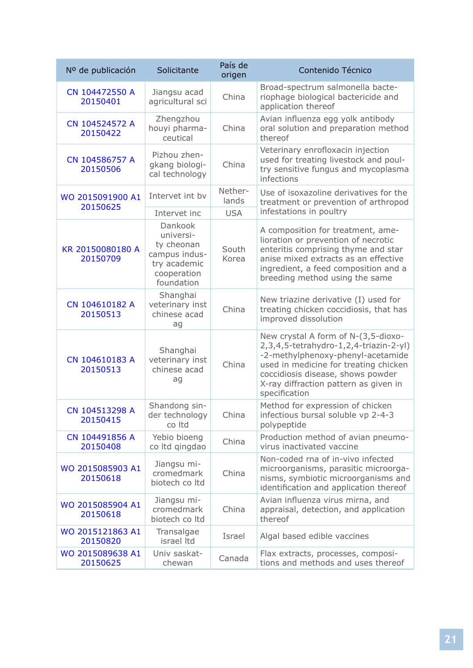| Nº de publicación            | Solicitante                                                                                      | País de<br>origen | Contenido Técnico                                                                                                                                                                                                                                          |
|------------------------------|--------------------------------------------------------------------------------------------------|-------------------|------------------------------------------------------------------------------------------------------------------------------------------------------------------------------------------------------------------------------------------------------------|
| CN 104472550 A<br>20150401   | Jiangsu acad<br>agricultural sci                                                                 | China             | Broad-spectrum salmonella bacte-<br>riophage biological bactericide and<br>application thereof                                                                                                                                                             |
| CN 104524572 A<br>20150422   | Zhengzhou<br>houyi pharma-<br>ceutical                                                           | China             | Avian influenza egg yolk antibody<br>oral solution and preparation method<br>thereof                                                                                                                                                                       |
| CN 104586757 A<br>20150506   | Pizhou zhen-<br>gkang biologi-<br>cal technology                                                 | China             | Veterinary enrofloxacin injection<br>used for treating livestock and poul-<br>try sensitive fungus and mycoplasma<br>infections                                                                                                                            |
| WO 2015091900 A1<br>20150625 | Intervet int by                                                                                  | Nether-<br>lands  | Use of isoxazoline derivatives for the<br>treatment or prevention of arthropod                                                                                                                                                                             |
|                              | Intervet inc                                                                                     | <b>USA</b>        | infestations in poultry                                                                                                                                                                                                                                    |
| KR 20150080180 A<br>20150709 | Dankook<br>universi-<br>ty cheonan<br>campus indus-<br>try academic<br>cooperation<br>foundation | South<br>Korea    | A composition for treatment, ame-<br>lioration or prevention of necrotic<br>enteritis comprising thyme and star<br>anise mixed extracts as an effective<br>ingredient, a feed composition and a<br>breeding method using the same                          |
| CN 104610182 A<br>20150513   | Shanghai<br>veterinary inst<br>chinese acad<br>ag                                                | China             | New triazine derivative (I) used for<br>treating chicken coccidiosis, that has<br>improved dissolution                                                                                                                                                     |
| CN 104610183 A<br>20150513   | Shanghai<br>veterinary inst<br>chinese acad<br>ag                                                | China             | New crystal A form of N-(3,5-dioxo-<br>2,3,4,5-tetrahydro-1,2,4-triazin-2-yl)<br>-2-methylphenoxy-phenyl-acetamide<br>used in medicine for treating chicken<br>coccidiosis disease, shows powder<br>X-ray diffraction pattern as given in<br>specification |
| CN 104513298 A<br>20150415   | Shandong sin-<br>der technology<br>co Itd                                                        | China             | Method for expression of chicken<br>infectious bursal soluble vp 2-4-3<br>polypeptide                                                                                                                                                                      |
| CN 104491856 A<br>20150408   | Yebio bioeng<br>co Itd gingdao                                                                   | China             | Production method of avian pneumo-<br>virus inactivated vaccine                                                                                                                                                                                            |
| WO 2015085903 A1<br>20150618 | Jiangsu mi-<br>cromedmark<br>biotech co Itd                                                      | China             | Non-coded rna of in-vivo infected<br>microorganisms, parasitic microorga-<br>nisms, symbiotic microorganisms and<br>identification and application thereof                                                                                                 |
| WO 2015085904 A1<br>20150618 | Jiangsu mi-<br>cromedmark<br>biotech co Itd                                                      | China             | Avian influenza virus mirna, and<br>appraisal, detection, and application<br>thereof                                                                                                                                                                       |
| WO 2015121863 A1<br>20150820 | Transalgae<br>israel Itd                                                                         | Israel            | Algal based edible vaccines                                                                                                                                                                                                                                |
| WO 2015089638 A1<br>20150625 | Univ saskat-<br>chewan                                                                           | Canada            | Flax extracts, processes, composi-<br>tions and methods and uses thereof                                                                                                                                                                                   |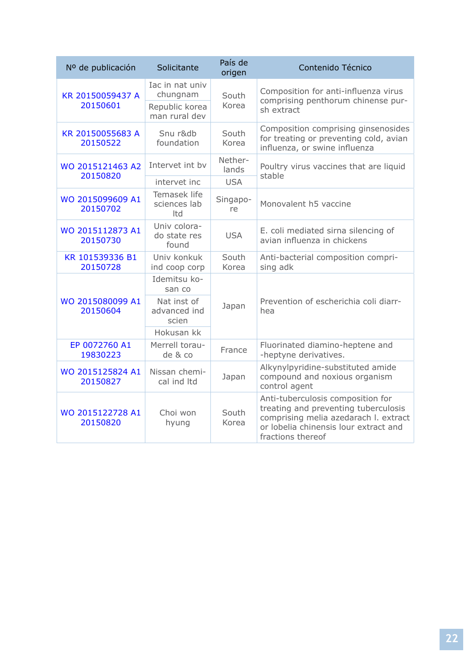| Nº de publicación            | Solicitante                                   | País de<br>origen | Contenido Técnico                                                                                                                                                                |
|------------------------------|-----------------------------------------------|-------------------|----------------------------------------------------------------------------------------------------------------------------------------------------------------------------------|
| KR 20150059437 A             | Iac in nat univ<br>chungnam                   | South             | Composition for anti-influenza virus<br>comprising penthorum chinense pur-                                                                                                       |
| 20150601                     | Republic korea<br>man rural dev               | Korea             | sh extract                                                                                                                                                                       |
| KR 20150055683 A<br>20150522 | Snu r&db<br>foundation                        | South<br>Korea    | Composition comprising ginsenosides<br>for treating or preventing cold, avian<br>influenza, or swine influenza                                                                   |
| WO 2015121463 A2<br>20150820 | Intervet int by                               | Nether-<br>lands  | Poultry virus vaccines that are liquid<br>stable                                                                                                                                 |
|                              | intervet inc                                  | <b>USA</b>        |                                                                                                                                                                                  |
| WO 2015099609 A1<br>20150702 | Temasek life<br>sciences lab<br>Itd           | Singapo-<br>re    | Monovalent h5 vaccine                                                                                                                                                            |
| WO 2015112873 A1<br>20150730 | Univ colora-<br>do state res<br>found         | <b>USA</b>        | E. coli mediated sirna silencing of<br>avian influenza in chickens                                                                                                               |
| KR 101539336 B1<br>20150728  | Univ konkuk<br>ind coop corp                  | South<br>Korea    | Anti-bacterial composition compri-<br>sing adk                                                                                                                                   |
|                              | Idemitsu ko-<br>san co                        |                   |                                                                                                                                                                                  |
| WO 2015080099 A1<br>20150604 | Nat inst of<br>Japan<br>advanced ind<br>scien |                   | Prevention of escherichia coli diarr-<br>hea                                                                                                                                     |
|                              | Hokusan kk                                    |                   |                                                                                                                                                                                  |
| EP 0072760 A1<br>19830223    | Merrell torau-<br>de & co                     | France            | Fluorinated diamino-heptene and<br>-heptyne derivatives.                                                                                                                         |
| WO 2015125824 A1<br>20150827 | Nissan chemi-<br>cal ind Itd                  | Japan             | Alkynylpyridine-substituted amide<br>compound and noxious organism<br>control agent                                                                                              |
| WO 2015122728 A1<br>20150820 | Choi won<br>hyung                             | South<br>Korea    | Anti-tuberculosis composition for<br>treating and preventing tuberculosis<br>comprising melia azedarach I. extract<br>or lobelia chinensis lour extract and<br>fractions thereof |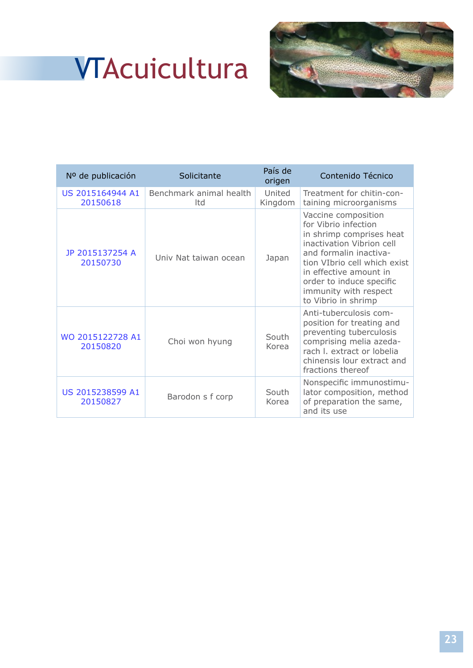## **<sup>1</sup>** VTAcuicultura



| Nº de publicación            | Solicitante                    | País de<br>origen | Contenido Técnico                                                                                                                                                                                                                                                    |
|------------------------------|--------------------------------|-------------------|----------------------------------------------------------------------------------------------------------------------------------------------------------------------------------------------------------------------------------------------------------------------|
| US 2015164944 A1<br>20150618 | Benchmark animal health<br>Itd | United<br>Kingdom | Treatment for chitin-con-<br>taining microorganisms                                                                                                                                                                                                                  |
| JP 2015137254 A<br>20150730  | Univ Nat taiwan ocean          | Japan             | Vaccine composition<br>for Vibrio infection<br>in shrimp comprises heat<br>inactivation Vibrion cell<br>and formalin inactiva-<br>tion VIbrio cell which exist<br>in effective amount in<br>order to induce specific<br>immunity with respect<br>to Vibrio in shrimp |
| WO 2015122728 A1<br>20150820 | Choi won hyung                 | South<br>Korea    | Anti-tuberculosis com-<br>position for treating and<br>preventing tuberculosis<br>comprising melia azeda-<br>rach I. extract or lobelia<br>chinensis lour extract and<br>fractions thereof                                                                           |
| US 2015238599 A1<br>20150827 | Barodon s f corp               | South<br>Korea    | Nonspecific immunostimu-<br>lator composition, method<br>of preparation the same,<br>and its use                                                                                                                                                                     |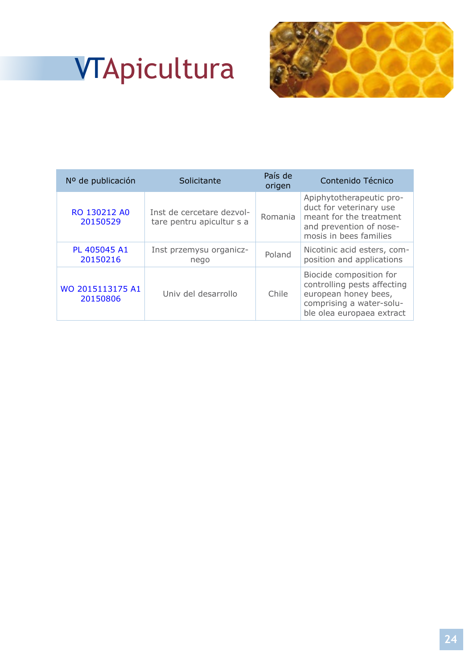# **<sup>1</sup>** VTApicultura



| Nº de publicación            | Solicitante                                            | País de<br>origen | Contenido Técnico                                                                                                                       |
|------------------------------|--------------------------------------------------------|-------------------|-----------------------------------------------------------------------------------------------------------------------------------------|
| RO 130212 AO<br>20150529     | Inst de cercetare dezvol-<br>tare pentru apicultur s a | Romania           | Apiphytotherapeutic pro-<br>duct for veterinary use<br>meant for the treatment<br>and prevention of nose-<br>mosis in bees families     |
| PL 405045 A1<br>20150216     | Inst przemysu organicz-<br>nego                        | Poland            | Nicotinic acid esters, com-<br>position and applications                                                                                |
| WO 2015113175 A1<br>20150806 | Univ del desarrollo                                    | Chile             | Biocide composition for<br>controlling pests affecting<br>european honey bees,<br>comprising a water-solu-<br>ble olea europaea extract |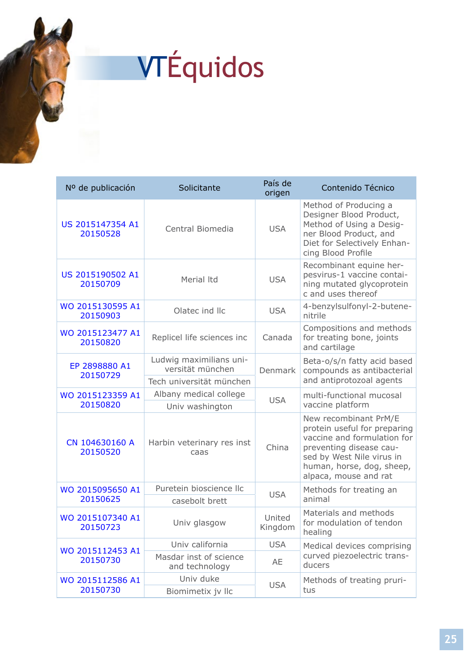# **<sup>1</sup>** VTÉquidos

| Nº de publicación            | Solicitante                                 | País de<br>origen | Contenido Técnico                                                                                                                                                                                  |
|------------------------------|---------------------------------------------|-------------------|----------------------------------------------------------------------------------------------------------------------------------------------------------------------------------------------------|
| US 2015147354 A1<br>20150528 | Central Biomedia                            | <b>USA</b>        | Method of Producing a<br>Designer Blood Product,<br>Method of Using a Desig-<br>ner Blood Product, and<br>Diet for Selectively Enhan-<br>cing Blood Profile                                        |
| US 2015190502 A1<br>20150709 | Merial Itd                                  | <b>USA</b>        | Recombinant equine her-<br>pesvirus-1 vaccine contai-<br>ning mutated glycoprotein<br>c and uses thereof                                                                                           |
| WO 2015130595 A1<br>20150903 | Olatec ind Ilc                              | <b>USA</b>        | 4-benzylsulfonyl-2-butene-<br>nitrile                                                                                                                                                              |
| WO 2015123477 A1<br>20150820 | Replicel life sciences inc                  | Canada            | Compositions and methods<br>for treating bone, joints<br>and cartilage                                                                                                                             |
| EP 2898880 A1<br>20150729    | Ludwig maximilians uni-<br>versität münchen | <b>Denmark</b>    | Beta-o/s/n fatty acid based<br>compounds as antibacterial                                                                                                                                          |
|                              | Tech universität münchen                    |                   | and antiprotozoal agents                                                                                                                                                                           |
| WO 2015123359 A1             | Albany medical college                      | <b>USA</b>        | multi-functional mucosal                                                                                                                                                                           |
| 20150820                     | Univ washington                             |                   | vaccine platform                                                                                                                                                                                   |
| CN 104630160 A<br>20150520   | Harbin veterinary res inst<br>caas          | China             | New recombinant PrM/E<br>protein useful for preparing<br>vaccine and formulation for<br>preventing disease cau-<br>sed by West Nile virus in<br>human, horse, dog, sheep,<br>alpaca, mouse and rat |
| WO 2015095650 A1             | Puretein bioscience llc                     | <b>USA</b>        | Methods for treating an                                                                                                                                                                            |
| 20150625                     | casebolt brett                              |                   | animal                                                                                                                                                                                             |
| WO 2015107340 A1<br>20150723 | Univ glasgow                                | United<br>Kingdom | Materials and methods<br>for modulation of tendon<br>healing                                                                                                                                       |
| WO 2015112453 A1             | Univ california                             | <b>USA</b>        | Medical devices comprising                                                                                                                                                                         |
| 20150730                     | Masdar inst of science<br>and technology    | AE                | curved piezoelectric trans-<br>ducers                                                                                                                                                              |
| WO 2015112586 A1             | Univ duke                                   | <b>USA</b>        | Methods of treating pruri-<br>tus                                                                                                                                                                  |
| 20150730                     | Biomimetix jv Ilc                           |                   |                                                                                                                                                                                                    |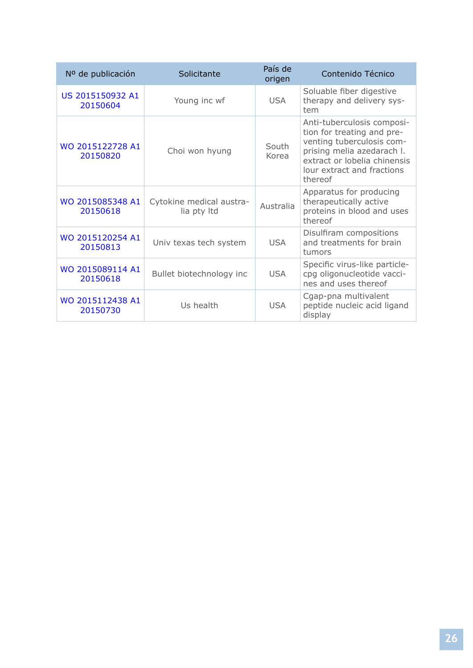| Nº de publicación            | Solicitante                             | País de<br>origen | Contenido Técnico                                                                                                                                                                            |
|------------------------------|-----------------------------------------|-------------------|----------------------------------------------------------------------------------------------------------------------------------------------------------------------------------------------|
| US 2015150932 A1<br>20150604 | Young inc wf                            | <b>USA</b>        | Soluable fiber digestive<br>therapy and delivery sys-<br>tem                                                                                                                                 |
| WO 2015122728 A1<br>20150820 | Choi won hyung                          | South<br>Korea    | Anti-tuberculosis composi-<br>tion for treating and pre-<br>venting tuberculosis com-<br>prising melia azedarach I.<br>extract or lobelia chinensis<br>lour extract and fractions<br>thereof |
| WO 2015085348 A1<br>20150618 | Cytokine medical austra-<br>lia pty Itd | Australia         | Apparatus for producing<br>therapeutically active<br>proteins in blood and uses<br>thereof                                                                                                   |
| WO 2015120254 A1<br>20150813 | Univ texas tech system                  | <b>USA</b>        | Disulfiram compositions<br>and treatments for brain<br>tumors                                                                                                                                |
| WO 2015089114 A1<br>20150618 | Bullet biotechnology inc                | <b>USA</b>        | Specific virus-like particle-<br>cpg oligonucleotide vacci-<br>nes and uses thereof                                                                                                          |
| WO 2015112438 A1<br>20150730 | Us health                               | <b>USA</b>        | Cgap-pna multivalent<br>peptide nucleic acid ligand<br>display                                                                                                                               |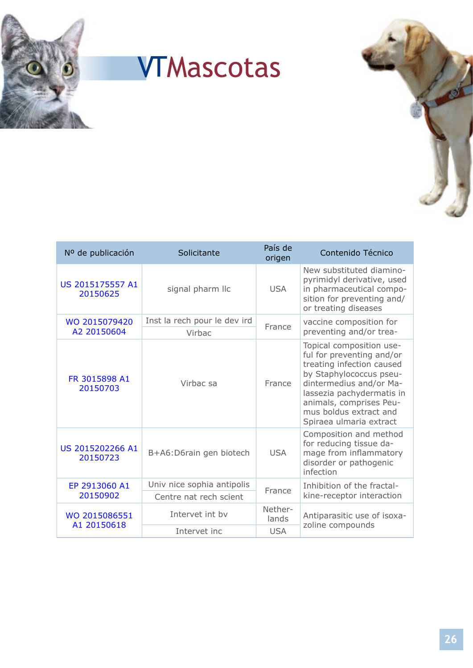

## **<sup>1</sup>** VTMascotas



| Nº de publicación            | Solicitante                  | País de<br>origen | Contenido Técnico                                                                                                                                                                                                                                     |
|------------------------------|------------------------------|-------------------|-------------------------------------------------------------------------------------------------------------------------------------------------------------------------------------------------------------------------------------------------------|
| US 2015175557 A1<br>20150625 | signal pharm IIc             | <b>USA</b>        | New substituted diamino-<br>pyrimidyl derivative, used<br>in pharmaceutical compo-<br>sition for preventing and/<br>or treating diseases                                                                                                              |
| WO 2015079420                | Inst la rech pour le dev ird | France            | vaccine composition for<br>preventing and/or trea-                                                                                                                                                                                                    |
| A2 20150604                  | Virbac                       |                   |                                                                                                                                                                                                                                                       |
| FR 3015898 A1<br>20150703    | Virbac sa                    | France            | Topical composition use-<br>ful for preventing and/or<br>treating infection caused<br>by Staphylococcus pseu-<br>dintermedius and/or Ma-<br>lassezia pachydermatis in<br>animals, comprises Peu-<br>mus boldus extract and<br>Spiraea ulmaria extract |
| US 2015202266 A1<br>20150723 | B+A6:D6rain gen biotech      | <b>USA</b>        | Composition and method<br>for reducing tissue da-<br>mage from inflammatory<br>disorder or pathogenic<br>infection                                                                                                                                    |
| EP 2913060 A1<br>20150902    | Univ nice sophia antipolis   | France            | Inhibition of the fractal-                                                                                                                                                                                                                            |
|                              | Centre nat rech scient       |                   | kine-receptor interaction                                                                                                                                                                                                                             |
| WO 2015086551<br>A1 20150618 | Intervet int by              | Nether-<br>lands  | Antiparasitic use of isoxa-<br>zoline compounds                                                                                                                                                                                                       |
|                              | Intervet inc                 | <b>USA</b>        |                                                                                                                                                                                                                                                       |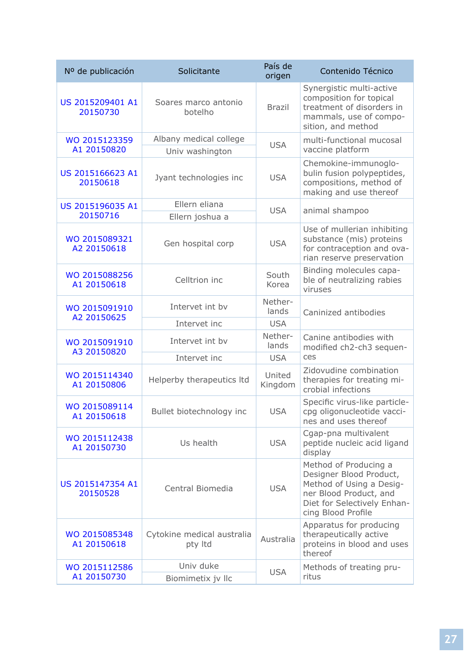| Nº de publicación            | Solicitante                               | País de<br>origen | Contenido Técnico                                                                                                                                           |
|------------------------------|-------------------------------------------|-------------------|-------------------------------------------------------------------------------------------------------------------------------------------------------------|
| US 2015209401 A1<br>20150730 | Soares marco antonio<br>botelho           | <b>Brazil</b>     | Synergistic multi-active<br>composition for topical<br>treatment of disorders in<br>mammals, use of compo-<br>sition, and method                            |
| WO 2015123359<br>A1 20150820 | Albany medical college<br>Univ washington | <b>USA</b>        | multi-functional mucosal<br>vaccine platform                                                                                                                |
| US 2015166623 A1<br>20150618 | Jyant technologies inc                    | <b>USA</b>        | Chemokine-immunoglo-<br>bulin fusion polypeptides,<br>compositions, method of<br>making and use thereof                                                     |
| US 2015196035 A1             | Ellern eliana                             |                   |                                                                                                                                                             |
| 20150716                     | Ellern joshua a                           | <b>USA</b>        | animal shampoo                                                                                                                                              |
| WO 2015089321<br>A2 20150618 | Gen hospital corp                         | <b>USA</b>        | Use of mullerian inhibiting<br>substance (mis) proteins<br>for contraception and ova-<br>rian reserve preservation                                          |
| WO 2015088256<br>A1 20150618 | Celltrion inc                             | South<br>Korea    | Binding molecules capa-<br>ble of neutralizing rabies<br>viruses                                                                                            |
| WO 2015091910<br>A2 20150625 | Intervet int by                           | Nether-<br>lands  | Caninized antibodies                                                                                                                                        |
|                              | Intervet inc                              | <b>USA</b>        |                                                                                                                                                             |
| WO 2015091910<br>A3 20150820 | Intervet int by                           | Nether-<br>lands  | Canine antibodies with<br>modified ch2-ch3 sequen-                                                                                                          |
|                              | Intervet inc                              | <b>USA</b>        | ces                                                                                                                                                         |
| WO 2015114340<br>A1 20150806 | Helperby therapeutics ltd                 | United<br>Kingdom | Zidovudine combination<br>therapies for treating mi-<br>crobial infections                                                                                  |
| WO 2015089114<br>A1 20150618 | Bullet biotechnology inc                  | <b>USA</b>        | Specific virus-like particle-<br>cpg oligonucleotide vacci-<br>nes and uses thereof                                                                         |
| WO 2015112438<br>A1 20150730 | Us health                                 | <b>USA</b>        | Cgap-pna multivalent<br>peptide nucleic acid ligand<br>display                                                                                              |
| US 2015147354 A1<br>20150528 | Central Biomedia                          | <b>USA</b>        | Method of Producing a<br>Designer Blood Product,<br>Method of Using a Desig-<br>ner Blood Product, and<br>Diet for Selectively Enhan-<br>cing Blood Profile |
| WO 2015085348<br>A1 20150618 | Cytokine medical australia<br>pty Itd     | Australia         | Apparatus for producing<br>therapeutically active<br>proteins in blood and uses<br>thereof                                                                  |
| WO 2015112586<br>A1 20150730 | Univ duke<br>Biomimetix jv Ilc            | <b>USA</b>        | Methods of treating pru-<br>ritus                                                                                                                           |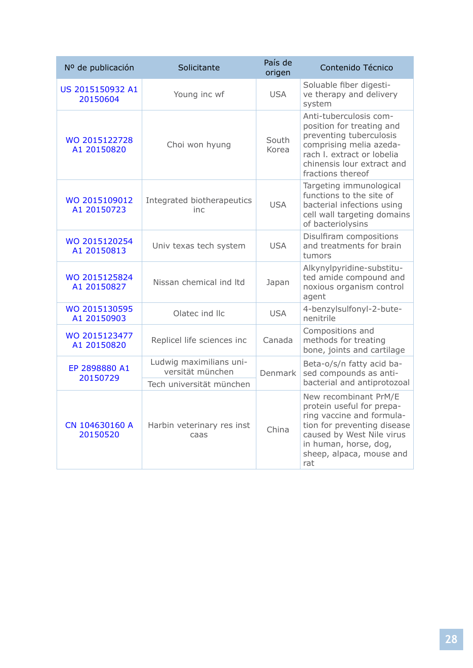| Nº de publicación            | Solicitante                                 | País de<br>origen | Contenido Técnico                                                                                                                                                                                       |
|------------------------------|---------------------------------------------|-------------------|---------------------------------------------------------------------------------------------------------------------------------------------------------------------------------------------------------|
| US 2015150932 A1<br>20150604 | Young inc wf                                | <b>USA</b>        | Soluable fiber digesti-<br>ve therapy and delivery<br>system                                                                                                                                            |
| WO 2015122728<br>A1 20150820 | Choi won hyung                              | South<br>Korea    | Anti-tuberculosis com-<br>position for treating and<br>preventing tuberculosis<br>comprising melia azeda-<br>rach I. extract or lobelia<br>chinensis lour extract and<br>fractions thereof              |
| WO 2015109012<br>A1 20150723 | Integrated biotherapeutics<br>inc           | <b>USA</b>        | Targeting immunological<br>functions to the site of<br>bacterial infections using<br>cell wall targeting domains<br>of bacteriolysins                                                                   |
| WO 2015120254<br>A1 20150813 | Univ texas tech system                      | <b>USA</b>        | Disulfiram compositions<br>and treatments for brain<br>tumors                                                                                                                                           |
| WO 2015125824<br>A1 20150827 | Nissan chemical ind Itd                     | Japan             | Alkynylpyridine-substitu-<br>ted amide compound and<br>noxious organism control<br>agent                                                                                                                |
| WO 2015130595<br>A1 20150903 | Olatec ind Ilc                              | <b>USA</b>        | 4-benzylsulfonyl-2-bute-<br>nenitrile                                                                                                                                                                   |
| WO 2015123477<br>A1 20150820 | Replicel life sciences inc                  | Canada            | Compositions and<br>methods for treating<br>bone, joints and cartilage                                                                                                                                  |
| EP 2898880 A1<br>20150729    | Ludwig maximilians uni-<br>versität münchen | <b>Denmark</b>    | Beta-o/s/n fatty acid ba-<br>sed compounds as anti-<br>bacterial and antiprotozoal                                                                                                                      |
|                              | Tech universität münchen                    |                   |                                                                                                                                                                                                         |
| CN 104630160 A<br>20150520   | Harbin veterinary res inst<br>caas          | China             | New recombinant PrM/E<br>protein useful for prepa-<br>ring vaccine and formula-<br>tion for preventing disease<br>caused by West Nile virus<br>in human, horse, dog,<br>sheep, alpaca, mouse and<br>rat |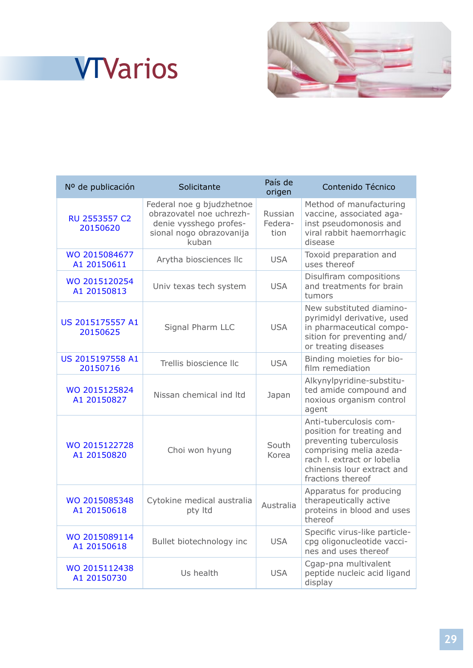## **<sup>1</sup>** VTVarios



| Nº de publicación                | Solicitante                                                                                                          | País de<br>origen          | Contenido Técnico                                                                                                                                                                          |
|----------------------------------|----------------------------------------------------------------------------------------------------------------------|----------------------------|--------------------------------------------------------------------------------------------------------------------------------------------------------------------------------------------|
| <b>RU 2553557 C2</b><br>20150620 | Federal noe g bjudzhetnoe<br>obrazovatel noe uchrezh-<br>denie vysshego profes-<br>sional nogo obrazovanija<br>kuban | Russian<br>Federa-<br>tion | Method of manufacturing<br>vaccine, associated aga-<br>inst pseudomonosis and<br>viral rabbit haemorrhagic<br>disease                                                                      |
| WO 2015084677<br>A1 20150611     | Arytha biosciences llc                                                                                               | <b>USA</b>                 | Toxoid preparation and<br>uses thereof                                                                                                                                                     |
| WO 2015120254<br>A1 20150813     | Univ texas tech system                                                                                               | <b>USA</b>                 | Disulfiram compositions<br>and treatments for brain<br>tumors                                                                                                                              |
| US 2015175557 A1<br>20150625     | Signal Pharm LLC                                                                                                     | <b>USA</b>                 | New substituted diamino-<br>pyrimidyl derivative, used<br>in pharmaceutical compo-<br>sition for preventing and/<br>or treating diseases                                                   |
| US 2015197558 A1<br>20150716     | Trellis bioscience llc                                                                                               | <b>USA</b>                 | Binding moieties for bio-<br>film remediation                                                                                                                                              |
| WO 2015125824<br>A1 20150827     | Nissan chemical ind Itd                                                                                              | Japan                      | Alkynylpyridine-substitu-<br>ted amide compound and<br>noxious organism control<br>agent                                                                                                   |
| WO 2015122728<br>A1 20150820     | Choi won hyung                                                                                                       | South<br>Korea             | Anti-tuberculosis com-<br>position for treating and<br>preventing tuberculosis<br>comprising melia azeda-<br>rach I. extract or lobelia<br>chinensis lour extract and<br>fractions thereof |
| WO 2015085348<br>A1 20150618     | Cytokine medical australia<br>pty Itd                                                                                | Australia                  | Apparatus for producing<br>therapeutically active<br>proteins in blood and uses<br>thereof                                                                                                 |
| WO 2015089114<br>A1 20150618     | Bullet biotechnology inc                                                                                             | <b>USA</b>                 | Specific virus-like particle-<br>cpg oligonucleotide vacci-<br>nes and uses thereof                                                                                                        |
| WO 2015112438<br>A1 20150730     | Us health                                                                                                            | <b>USA</b>                 | Cgap-pna multivalent<br>peptide nucleic acid ligand<br>display                                                                                                                             |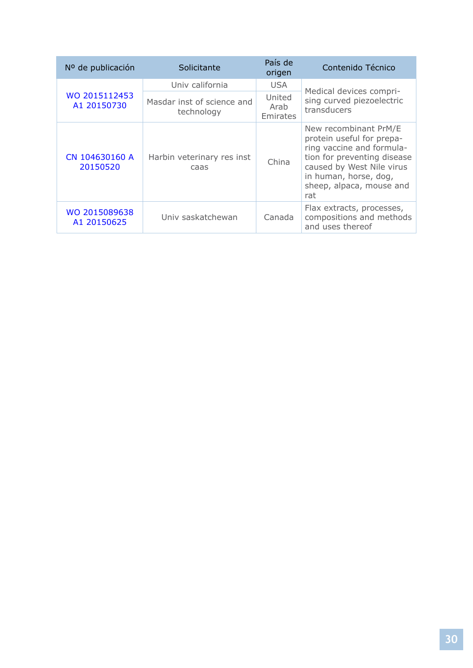| Nº de publicación            | Solicitante                              | País de<br>origen          | Contenido Técnico                                                                                                                                                                                       |
|------------------------------|------------------------------------------|----------------------------|---------------------------------------------------------------------------------------------------------------------------------------------------------------------------------------------------------|
| WO 2015112453<br>A1 20150730 | Univ california                          | <b>USA</b>                 | Medical devices compri-<br>sing curved piezoelectric<br>transducers                                                                                                                                     |
|                              | Masdar inst of science and<br>technology | United<br>Arab<br>Emirates |                                                                                                                                                                                                         |
| CN 104630160 A<br>20150520   | Harbin veterinary res inst<br>caas       | China                      | New recombinant PrM/E<br>protein useful for prepa-<br>ring vaccine and formula-<br>tion for preventing disease<br>caused by West Nile virus<br>in human, horse, dog,<br>sheep, alpaca, mouse and<br>rat |
| WO 2015089638<br>A1 20150625 | Univ saskatchewan                        | Canada                     | Flax extracts, processes,<br>compositions and methods<br>and uses thereof                                                                                                                               |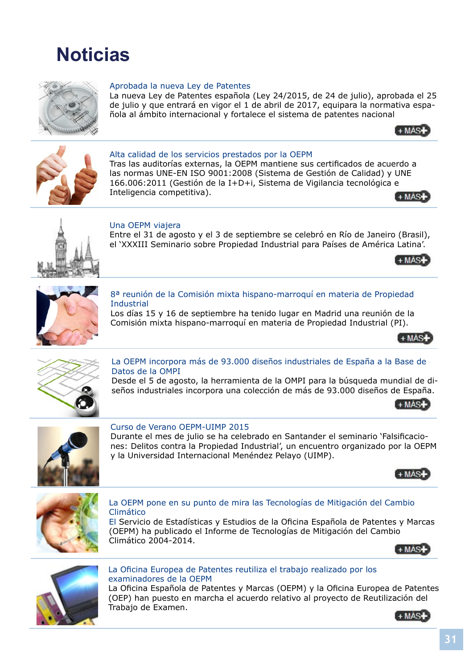<span id="page-31-0"></span>



#### Aprobada la nueva Ley de Patentes

La nueva Ley de Patentes española (Ley 24/2015, de 24 de julio), aprobada el 25 de julio y que entrará en vigor el 1 de abril de 2017, equipara la normativa española al ámbito internacional y fortalece el sistema de patentes nacional





#### Alta calidad de los servicios prestados por la OEPM

Tras las auditorías externas, la OEPM mantiene sus certificados de acuerdo a las normas UNE-EN ISO 9001:2008 (Sistema de Gestión de Calidad) y UNE 166.006:2011 (Gestión de la I+D+i, Sistema de Vigilancia tecnológic[a e](http://www.inforpress.net/Infopi/septiembre/noticia-02.html)  Inteligencia competitiva).





#### Una OEPM viajera

Entre el 31 de agosto y el 3 de septiembre se celebró en Río de Janeiro (Brasil), el 'XXXIII Seminario sobre Propiedad Industrial para Países de América Latina'.





#### 8ª reunión de la Comisión mixta hispano-marroquí en materia de Propiedad **Industrial**

Los días 15 y 16 de septiembre ha tenido lugar en Madrid una reunión de la Comisión mixta hispano-marroquí en materia de Propiedad Industrial [\(PI\).](http://www.inforpress.net/Infopi/septiembre/noticia-04.html)





#### La OEPM incorpora más de 93.000 diseños industriales de España a la Base de Datos de la OMPI

Desde el 5 de agosto, la herramienta de la OMPI para la búsqueda mundial de diseños industriales incorpora una colección de más de 93.000 diseños [de España.](http://www.inforpress.net/Infopi/septiembre/noticia-05.html)





#### Curso de Verano OEPM-UIMP 2015

Durante el mes de julio se ha celebrado en Santander el seminario 'Falsificaciones: Delitos contra la Propiedad Industrial', un encuentro organizado por la OEPM y la Universidad Internacional Menéndez Pelayo (UIMP).





#### La OEPM pone en su punto de mira las Tecnologías de Mitigación del Cambio Climático

El Servicio de Estadísticas y Estudios de la Oficina Española de Patentes y Marcas (OEPM) ha publicado el Informe de Tecnologías de Mitigación del Cambio Climático 2004-2014.





#### La Oficina Europea de Patentes reutiliza el trabajo realizado por los examinadores de la OEPM

La Oficina Española de Patentes y Marcas (OEPM) y la Oficina Europea de Patentes (OEP) han puesto en marcha el acuerdo relativo al proyecto de Reutilización del Trabajo de Examen.

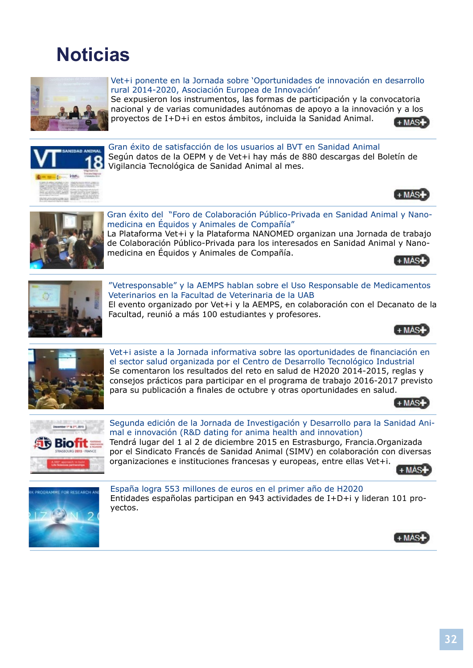## **Noticias**



#### Vet+i ponente en la Jornada sobre 'Oportunidades de innovación en desarrollo rural 2014-2020, Asociación Europea de Innovación'

Se expusieron los instrumentos, las formas de participación y la convocatoria nacional y de varias comunidades autónomas de apoyo a la innovaci[ón y a los](http://www.vetmasi.es/desarrollo-rural-2014-2020-asociacion-europea-de-innovacion-jose-pablo-zamorano-del-instituto-madrileno-de-investigacion-y-desarrollo-rural/vet%2Bi/vet%2Bi-ponente-en-la-jornada-sobre-oportunidades-de-innovacion-en-desarrollo-rural-2014-2020-asociacion-europea-de-innovacion_3432_0_0_0_1_11972_in.html)  proyectos de I+D+i en estos ámbitos, incluida la Sanidad Animal.  $+$  MAS+



 $+$ MAS $+$ 



Gran éxito del "Foro de Colaboración Público-Privada en Sanidad Animal y Nanomedicina en Équidos y Animales de Compañía" La Plataforma Vet+i y la Plataforma NANOMED organizan una Jornada de trabajo

de Colaboración Público-Privada para los interesados en Sanidad Animal y Nanomedicina en Équidos y Animales de Compañía.





Veterinarios en la Facultad de Veterinaria de la UAB El evento organizado por Vet+i y la AEMPS, en colaboración con el Decanato de la Facultad, reunió a más 100 estudiantes y profesores.





**Technologie" y la AEMPS hablan sobre el Uso Responsable de Medicamentos**<br>
Seterinarios en la Facultad de Veterinaria de la UAB<br>
El evento organizado por Vet+i y la AEMPS, en colaboración con el Decanato de la<br>
Facultad, Vet+i asiste a la Jornada informativa sobre las oportunidades de financiación en el sector salud organizada por el Centro de Desarrollo Tecnológico Industrial Se comentaron los resultados del reto en salud de H2020 2014-2015, reglas y consejos prácticos para participar en el programa de trabajo 2016-2017 previsto para su publicación a finales de octubre y otras oportunidades en sal[ud.](http://www.vetmasi.es/jornada-salud-horizon-2020/vet%2Bi/vet%2Bi-asiste-a-la-jornada-informativa-sobre-las-oportunidades-de-financiacion-en-el-sector-salud-organizada-por-el-centro-de-desarrollo-tecnologico-industrial_3460_0_0_0_1_12033_in.html)





Segunda edición de la Jornada de Investigación y Desarrollo para la Sanidad Animal e innovación (R&D dating for anima health and innovation) Tendrá lugar del 1 al 2 de diciembre 2015 en Estrasburgo, Francia.Organizada por el Sindicato Francés de Sanidad Animal (SIMV) en colaboración con diversas organizaciones e instituciones francesas y europeas, entre ellas Vet+i.





España logra 553 millones de euros en el primer año de H2020 Entidades españolas participan en 943 actividades de I+D+i y lideran 101 proyectos.